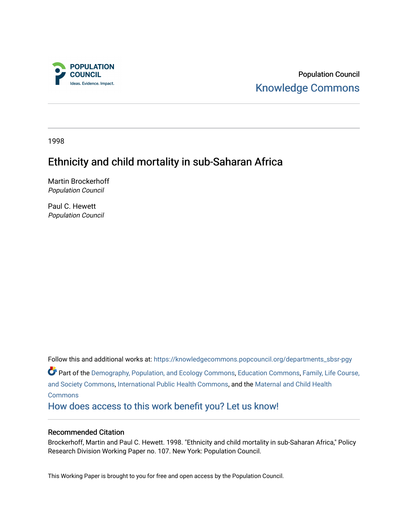

Population Council [Knowledge Commons](https://knowledgecommons.popcouncil.org/) 

1998

# Ethnicity and child mortality in sub-Saharan Africa

Martin Brockerhoff Population Council

Paul C. Hewett Population Council

Follow this and additional works at: [https://knowledgecommons.popcouncil.org/departments\\_sbsr-pgy](https://knowledgecommons.popcouncil.org/departments_sbsr-pgy?utm_source=knowledgecommons.popcouncil.org%2Fdepartments_sbsr-pgy%2F246&utm_medium=PDF&utm_campaign=PDFCoverPages)  Part of the [Demography, Population, and Ecology Commons,](https://network.bepress.com/hgg/discipline/418?utm_source=knowledgecommons.popcouncil.org%2Fdepartments_sbsr-pgy%2F246&utm_medium=PDF&utm_campaign=PDFCoverPages) [Education Commons,](https://network.bepress.com/hgg/discipline/784?utm_source=knowledgecommons.popcouncil.org%2Fdepartments_sbsr-pgy%2F246&utm_medium=PDF&utm_campaign=PDFCoverPages) [Family, Life Course,](https://network.bepress.com/hgg/discipline/419?utm_source=knowledgecommons.popcouncil.org%2Fdepartments_sbsr-pgy%2F246&utm_medium=PDF&utm_campaign=PDFCoverPages)  [and Society Commons](https://network.bepress.com/hgg/discipline/419?utm_source=knowledgecommons.popcouncil.org%2Fdepartments_sbsr-pgy%2F246&utm_medium=PDF&utm_campaign=PDFCoverPages), [International Public Health Commons,](https://network.bepress.com/hgg/discipline/746?utm_source=knowledgecommons.popcouncil.org%2Fdepartments_sbsr-pgy%2F246&utm_medium=PDF&utm_campaign=PDFCoverPages) and the [Maternal and Child Health](https://network.bepress.com/hgg/discipline/745?utm_source=knowledgecommons.popcouncil.org%2Fdepartments_sbsr-pgy%2F246&utm_medium=PDF&utm_campaign=PDFCoverPages)  **[Commons](https://network.bepress.com/hgg/discipline/745?utm_source=knowledgecommons.popcouncil.org%2Fdepartments_sbsr-pgy%2F246&utm_medium=PDF&utm_campaign=PDFCoverPages)** [How does access to this work benefit you? Let us know!](https://pcouncil.wufoo.com/forms/open-access-to-population-council-research/)

### Recommended Citation

Brockerhoff, Martin and Paul C. Hewett. 1998. "Ethnicity and child mortality in sub-Saharan Africa," Policy Research Division Working Paper no. 107. New York: Population Council.

This Working Paper is brought to you for free and open access by the Population Council.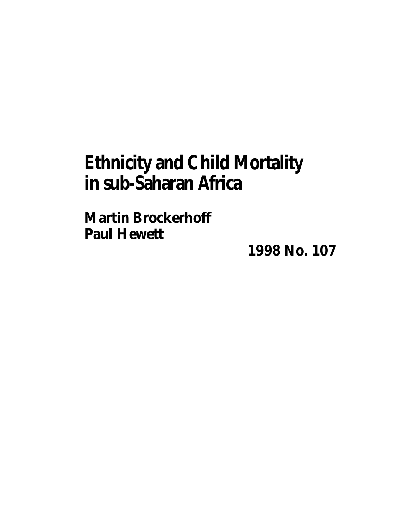# **Ethnicity and Child Mortality in sub-Saharan Africa**

**Martin Brockerhoff Paul Hewett**

**1998 No. 107**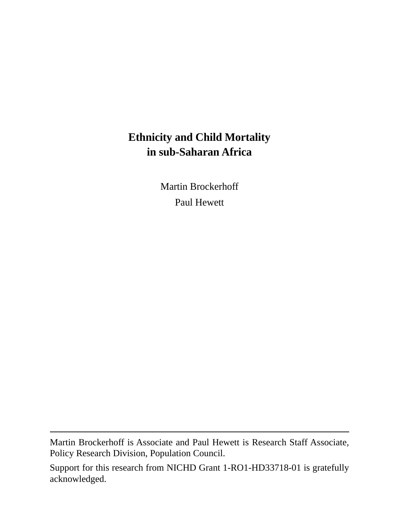# **Ethnicity and Child Mortality in sub-Saharan Africa**

Martin Brockerhoff Paul Hewett

Martin Brockerhoff is Associate and Paul Hewett is Research Staff Associate, Policy Research Division, Population Council.

Support for this research from NICHD Grant 1-RO1-HD33718-01 is gratefully acknowledged.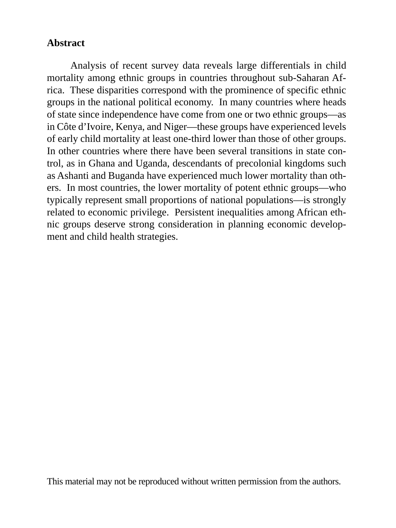# **Abstract**

Analysis of recent survey data reveals large differentials in child mortality among ethnic groups in countries throughout sub-Saharan Africa. These disparities correspond with the prominence of specific ethnic groups in the national political economy. In many countries where heads of state since independence have come from one or two ethnic groups—as in Côte d'Ivoire, Kenya, and Niger—these groups have experienced levels of early child mortality at least one-third lower than those of other groups. In other countries where there have been several transitions in state control, as in Ghana and Uganda, descendants of precolonial kingdoms such as Ashanti and Buganda have experienced much lower mortality than others. In most countries, the lower mortality of potent ethnic groups—who typically represent small proportions of national populations—is strongly related to economic privilege. Persistent inequalities among African ethnic groups deserve strong consideration in planning economic development and child health strategies.

This material may not be reproduced without written permission from the authors.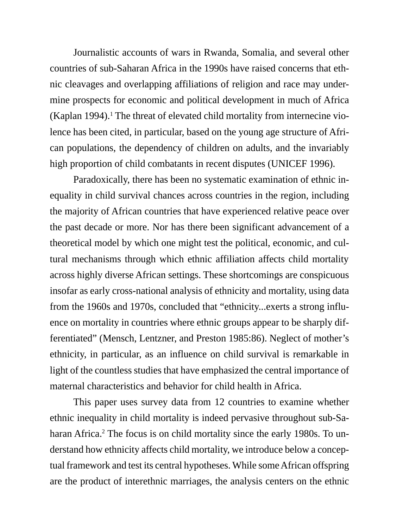Journalistic accounts of wars in Rwanda, Somalia, and several other countries of sub-Saharan Africa in the 1990s have raised concerns that ethnic cleavages and overlapping affiliations of religion and race may undermine prospects for economic and political development in much of Africa (Kaplan 1994).<sup>1</sup> The threat of elevated child mortality from internecine violence has been cited, in particular, based on the young age structure of African populations, the dependency of children on adults, and the invariably high proportion of child combatants in recent disputes (UNICEF 1996).

Paradoxically, there has been no systematic examination of ethnic inequality in child survival chances across countries in the region, including the majority of African countries that have experienced relative peace over the past decade or more. Nor has there been significant advancement of a theoretical model by which one might test the political, economic, and cultural mechanisms through which ethnic affiliation affects child mortality across highly diverse African settings. These shortcomings are conspicuous insofar as early cross-national analysis of ethnicity and mortality, using data from the 1960s and 1970s, concluded that "ethnicity...exerts a strong influence on mortality in countries where ethnic groups appear to be sharply differentiated" (Mensch, Lentzner, and Preston 1985:86). Neglect of mother's ethnicity, in particular, as an influence on child survival is remarkable in light of the countless studies that have emphasized the central importance of maternal characteristics and behavior for child health in Africa.

This paper uses survey data from 12 countries to examine whether ethnic inequality in child mortality is indeed pervasive throughout sub-Saharan Africa.<sup>2</sup> The focus is on child mortality since the early 1980s. To understand how ethnicity affects child mortality, we introduce below a conceptual framework and test its central hypotheses. While some African offspring are the product of interethnic marriages, the analysis centers on the ethnic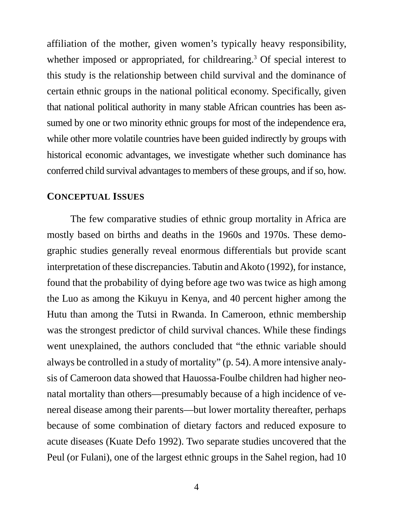affiliation of the mother, given women's typically heavy responsibility, whether imposed or appropriated, for childrearing.<sup>3</sup> Of special interest to this study is the relationship between child survival and the dominance of certain ethnic groups in the national political economy. Specifically, given that national political authority in many stable African countries has been assumed by one or two minority ethnic groups for most of the independence era, while other more volatile countries have been guided indirectly by groups with historical economic advantages, we investigate whether such dominance has conferred child survival advantages to members of these groups, and if so, how.

#### **CONCEPTUAL ISSUES**

The few comparative studies of ethnic group mortality in Africa are mostly based on births and deaths in the 1960s and 1970s. These demographic studies generally reveal enormous differentials but provide scant interpretation of these discrepancies. Tabutin and Akoto (1992), for instance, found that the probability of dying before age two was twice as high among the Luo as among the Kikuyu in Kenya, and 40 percent higher among the Hutu than among the Tutsi in Rwanda. In Cameroon, ethnic membership was the strongest predictor of child survival chances. While these findings went unexplained, the authors concluded that "the ethnic variable should always be controlled in a study of mortality" (p. 54). A more intensive analysis of Cameroon data showed that Hauossa-Foulbe children had higher neonatal mortality than others—presumably because of a high incidence of venereal disease among their parents—but lower mortality thereafter, perhaps because of some combination of dietary factors and reduced exposure to acute diseases (Kuate Defo 1992). Two separate studies uncovered that the Peul (or Fulani), one of the largest ethnic groups in the Sahel region, had 10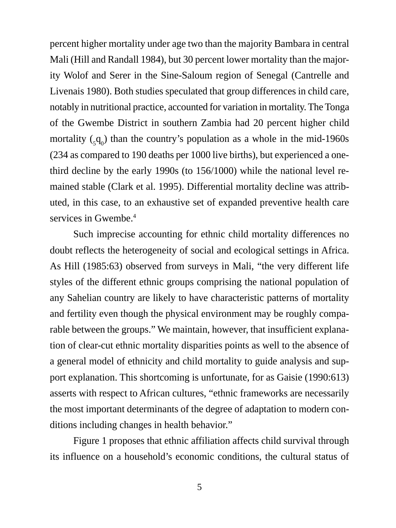percent higher mortality under age two than the majority Bambara in central Mali (Hill and Randall 1984), but 30 percent lower mortality than the majority Wolof and Serer in the Sine-Saloum region of Senegal (Cantrelle and Livenais 1980). Both studies speculated that group differences in child care, notably in nutritional practice, accounted for variation in mortality. The Tonga of the Gwembe District in southern Zambia had 20 percent higher child mortality  $\zeta_1 q_0$  than the country's population as a whole in the mid-1960s (234 as compared to 190 deaths per 1000 live births), but experienced a onethird decline by the early 1990s (to 156/1000) while the national level remained stable (Clark et al. 1995). Differential mortality decline was attributed, in this case, to an exhaustive set of expanded preventive health care services in Gwembe.<sup>4</sup>

Such imprecise accounting for ethnic child mortality differences no doubt reflects the heterogeneity of social and ecological settings in Africa. As Hill (1985:63) observed from surveys in Mali, "the very different life styles of the different ethnic groups comprising the national population of any Sahelian country are likely to have characteristic patterns of mortality and fertility even though the physical environment may be roughly comparable between the groups." We maintain, however, that insufficient explanation of clear-cut ethnic mortality disparities points as well to the absence of a general model of ethnicity and child mortality to guide analysis and support explanation. This shortcoming is unfortunate, for as Gaisie (1990:613) asserts with respect to African cultures, "ethnic frameworks are necessarily the most important determinants of the degree of adaptation to modern conditions including changes in health behavior."

Figure 1 proposes that ethnic affiliation affects child survival through its influence on a household's economic conditions, the cultural status of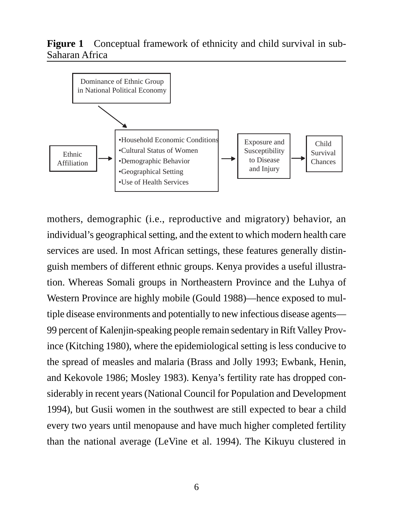# **Figure 1** Conceptual framework of ethnicity and child survival in sub-Saharan Africa



mothers, demographic (i.e., reproductive and migratory) behavior, an individual's geographical setting, and the extent to which modern health care services are used. In most African settings, these features generally distinguish members of different ethnic groups. Kenya provides a useful illustration. Whereas Somali groups in Northeastern Province and the Luhya of Western Province are highly mobile (Gould 1988)—hence exposed to multiple disease environments and potentially to new infectious disease agents— 99 percent of Kalenjin-speaking people remain sedentary in Rift Valley Province (Kitching 1980), where the epidemiological setting is less conducive to the spread of measles and malaria (Brass and Jolly 1993; Ewbank, Henin, and Kekovole 1986; Mosley 1983). Kenya's fertility rate has dropped considerably in recent years (National Council for Population and Development 1994), but Gusii women in the southwest are still expected to bear a child every two years until menopause and have much higher completed fertility than the national average (LeVine et al. 1994). The Kikuyu clustered in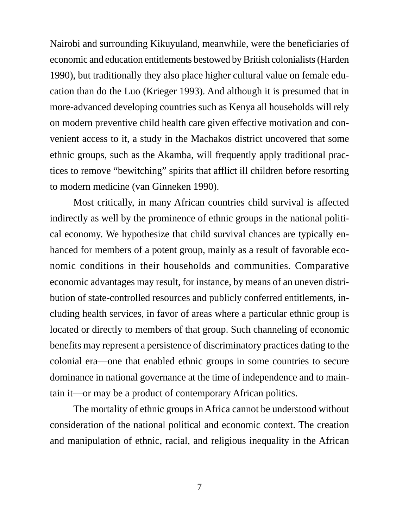Nairobi and surrounding Kikuyuland, meanwhile, were the beneficiaries of economic and education entitlements bestowed by British colonialists (Harden 1990), but traditionally they also place higher cultural value on female education than do the Luo (Krieger 1993). And although it is presumed that in more-advanced developing countries such as Kenya all households will rely on modern preventive child health care given effective motivation and convenient access to it, a study in the Machakos district uncovered that some ethnic groups, such as the Akamba, will frequently apply traditional practices to remove "bewitching" spirits that afflict ill children before resorting to modern medicine (van Ginneken 1990).

Most critically, in many African countries child survival is affected indirectly as well by the prominence of ethnic groups in the national political economy. We hypothesize that child survival chances are typically enhanced for members of a potent group, mainly as a result of favorable economic conditions in their households and communities. Comparative economic advantages may result, for instance, by means of an uneven distribution of state-controlled resources and publicly conferred entitlements, including health services, in favor of areas where a particular ethnic group is located or directly to members of that group. Such channeling of economic benefits may represent a persistence of discriminatory practices dating to the colonial era—one that enabled ethnic groups in some countries to secure dominance in national governance at the time of independence and to maintain it—or may be a product of contemporary African politics.

The mortality of ethnic groups in Africa cannot be understood without consideration of the national political and economic context. The creation and manipulation of ethnic, racial, and religious inequality in the African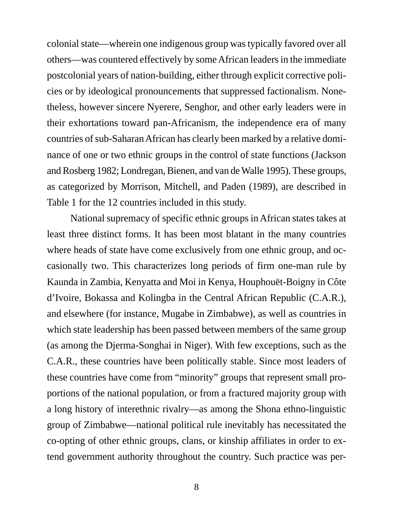colonial state—wherein one indigenous group was typically favored over all others—was countered effectively by some African leaders in the immediate postcolonial years of nation-building, either through explicit corrective policies or by ideological pronouncements that suppressed factionalism. Nonetheless, however sincere Nyerere, Senghor, and other early leaders were in their exhortations toward pan-Africanism, the independence era of many countries of sub-Saharan African has clearly been marked by a relative dominance of one or two ethnic groups in the control of state functions (Jackson and Rosberg 1982; Londregan, Bienen, and van de Walle 1995). These groups, as categorized by Morrison, Mitchell, and Paden (1989), are described in Table 1 for the 12 countries included in this study.

National supremacy of specific ethnic groups in African states takes at least three distinct forms. It has been most blatant in the many countries where heads of state have come exclusively from one ethnic group, and occasionally two. This characterizes long periods of firm one-man rule by Kaunda in Zambia, Kenyatta and Moi in Kenya, Houphouët-Boigny in Côte d'Ivoire, Bokassa and Kolingba in the Central African Republic (C.A.R.), and elsewhere (for instance, Mugabe in Zimbabwe), as well as countries in which state leadership has been passed between members of the same group (as among the Djerma-Songhai in Niger). With few exceptions, such as the C.A.R., these countries have been politically stable. Since most leaders of these countries have come from "minority" groups that represent small proportions of the national population, or from a fractured majority group with a long history of interethnic rivalry—as among the Shona ethno-linguistic group of Zimbabwe—national political rule inevitably has necessitated the co-opting of other ethnic groups, clans, or kinship affiliates in order to extend government authority throughout the country. Such practice was per-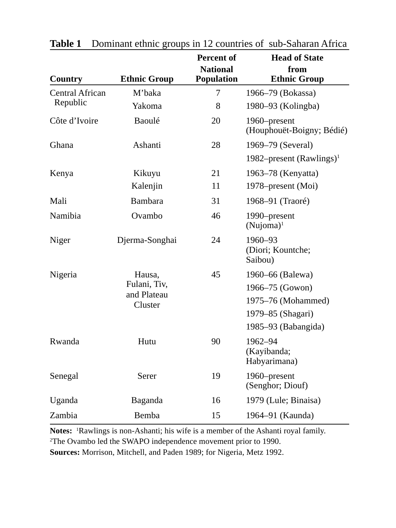|                        |                        | <b>Percent of</b>                    | <b>Head of State</b>                      |
|------------------------|------------------------|--------------------------------------|-------------------------------------------|
| Country                | <b>Ethnic Group</b>    | <b>National</b><br><b>Population</b> | from<br><b>Ethnic Group</b>               |
| <b>Central African</b> | M'baka                 | 7                                    | 1966–79 (Bokassa)                         |
| Republic               | Yakoma                 | 8                                    | 1980–93 (Kolingba)                        |
| Côte d'Ivoire          | Baoulé                 | 20                                   | 1960–present<br>(Houphouët-Boigny; Bédié) |
| Ghana                  | Ashanti                | 28                                   | 1969–79 (Several)                         |
|                        |                        |                                      | 1982–present (Rawlings) <sup>1</sup>      |
| Kenya                  | Kikuyu                 | 21                                   | 1963–78 (Kenyatta)                        |
|                        | Kalenjin               | 11                                   | 1978–present (Moi)                        |
| Mali                   | Bambara                | 31                                   | 1968-91 (Traoré)                          |
| Namibia                | Ovambo                 | 46                                   | 1990–present<br>$(Nujoma)^1$              |
| Niger                  | Djerma-Songhai         | 24                                   | 1960-93<br>(Diori; Kountche;<br>Saibou)   |
| Nigeria                | Hausa,                 | 45                                   | 1960–66 (Balewa)                          |
|                        | Fulani, Tiv,           |                                      | 1966-75 (Gowon)                           |
|                        | and Plateau<br>Cluster |                                      | 1975-76 (Mohammed)                        |
|                        |                        |                                      | 1979–85 (Shagari)                         |
|                        |                        |                                      | 1985–93 (Babangida)                       |
| Rwanda                 | Hutu                   | 90                                   | 1962-94<br>(Kayibanda;<br>Habyarimana)    |
| Senegal                | Serer                  | 19                                   | 1960–present<br>(Senghor; Diouf)          |
| Uganda                 | Baganda                | 16                                   | 1979 (Lule; Binaisa)                      |
| Zambia                 | Bemba                  | 15                                   | 1964-91 (Kaunda)                          |

**Table 1** Dominant ethnic groups in 12 countries of sub-Saharan Africa

Notes: <sup>1</sup>Rawlings is non-Ashanti; his wife is a member of the Ashanti royal family. 2 The Ovambo led the SWAPO independence movement prior to 1990.

**Sources:** Morrison, Mitchell, and Paden 1989; for Nigeria, Metz 1992.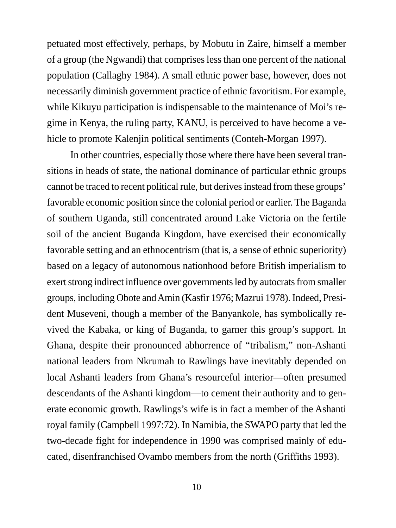petuated most effectively, perhaps, by Mobutu in Zaire, himself a member of a group (the Ngwandi) that comprises less than one percent of the national population (Callaghy 1984). A small ethnic power base, however, does not necessarily diminish government practice of ethnic favoritism. For example, while Kikuyu participation is indispensable to the maintenance of Moi's regime in Kenya, the ruling party, KANU, is perceived to have become a vehicle to promote Kalenjin political sentiments (Conteh-Morgan 1997).

In other countries, especially those where there have been several transitions in heads of state, the national dominance of particular ethnic groups cannot be traced to recent political rule, but derives instead from these groups' favorable economic position since the colonial period or earlier. The Baganda of southern Uganda, still concentrated around Lake Victoria on the fertile soil of the ancient Buganda Kingdom, have exercised their economically favorable setting and an ethnocentrism (that is, a sense of ethnic superiority) based on a legacy of autonomous nationhood before British imperialism to exert strong indirect influence over governments led by autocrats from smaller groups, including Obote and Amin (Kasfir 1976; Mazrui 1978). Indeed, President Museveni, though a member of the Banyankole, has symbolically revived the Kabaka, or king of Buganda, to garner this group's support. In Ghana, despite their pronounced abhorrence of "tribalism," non-Ashanti national leaders from Nkrumah to Rawlings have inevitably depended on local Ashanti leaders from Ghana's resourceful interior—often presumed descendants of the Ashanti kingdom—to cement their authority and to generate economic growth. Rawlings's wife is in fact a member of the Ashanti royal family (Campbell 1997:72). In Namibia, the SWAPO party that led the two-decade fight for independence in 1990 was comprised mainly of educated, disenfranchised Ovambo members from the north (Griffiths 1993).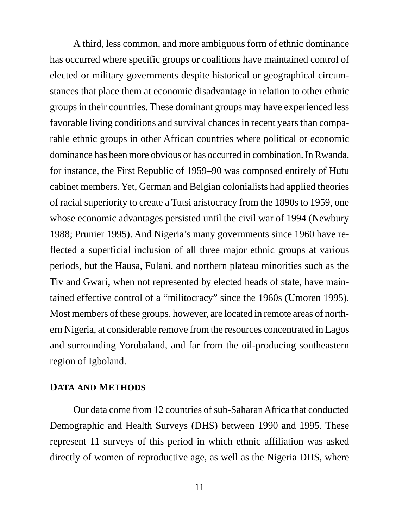A third, less common, and more ambiguous form of ethnic dominance has occurred where specific groups or coalitions have maintained control of elected or military governments despite historical or geographical circumstances that place them at economic disadvantage in relation to other ethnic groups in their countries. These dominant groups may have experienced less favorable living conditions and survival chances in recent years than comparable ethnic groups in other African countries where political or economic dominance has been more obvious or has occurred in combination. In Rwanda, for instance, the First Republic of 1959–90 was composed entirely of Hutu cabinet members. Yet, German and Belgian colonialists had applied theories of racial superiority to create a Tutsi aristocracy from the 1890s to 1959, one whose economic advantages persisted until the civil war of 1994 (Newbury 1988; Prunier 1995). And Nigeria's many governments since 1960 have reflected a superficial inclusion of all three major ethnic groups at various periods, but the Hausa, Fulani, and northern plateau minorities such as the Tiv and Gwari, when not represented by elected heads of state, have maintained effective control of a "militocracy" since the 1960s (Umoren 1995). Most members of these groups, however, are located in remote areas of northern Nigeria, at considerable remove from the resources concentrated in Lagos and surrounding Yorubaland, and far from the oil-producing southeastern region of Igboland.

#### **DATA AND METHODS**

Our data come from 12 countries of sub-Saharan Africa that conducted Demographic and Health Surveys (DHS) between 1990 and 1995. These represent 11 surveys of this period in which ethnic affiliation was asked directly of women of reproductive age, as well as the Nigeria DHS, where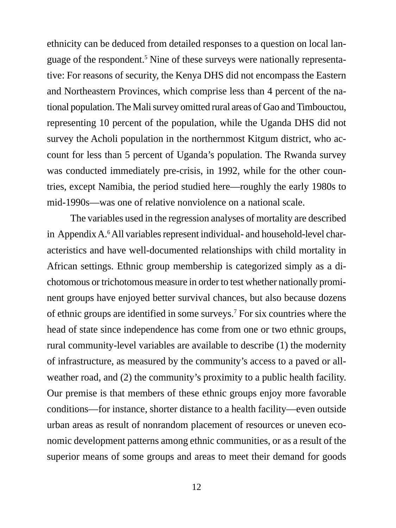ethnicity can be deduced from detailed responses to a question on local language of the respondent.<sup>5</sup> Nine of these surveys were nationally representative: For reasons of security, the Kenya DHS did not encompass the Eastern and Northeastern Provinces, which comprise less than 4 percent of the national population. The Mali survey omitted rural areas of Gao and Timbouctou, representing 10 percent of the population, while the Uganda DHS did not survey the Acholi population in the northernmost Kitgum district, who account for less than 5 percent of Uganda's population. The Rwanda survey was conducted immediately pre-crisis, in 1992, while for the other countries, except Namibia, the period studied here—roughly the early 1980s to mid-1990s—was one of relative nonviolence on a national scale.

The variables used in the regression analyses of mortality are described in Appendix A.<sup>6</sup> All variables represent individual- and household-level characteristics and have well-documented relationships with child mortality in African settings. Ethnic group membership is categorized simply as a dichotomous or trichotomous measure in order to test whether nationally prominent groups have enjoyed better survival chances, but also because dozens of ethnic groups are identified in some surveys.7 For six countries where the head of state since independence has come from one or two ethnic groups, rural community-level variables are available to describe (1) the modernity of infrastructure, as measured by the community's access to a paved or allweather road, and (2) the community's proximity to a public health facility. Our premise is that members of these ethnic groups enjoy more favorable conditions—for instance, shorter distance to a health facility—even outside urban areas as result of nonrandom placement of resources or uneven economic development patterns among ethnic communities, or as a result of the superior means of some groups and areas to meet their demand for goods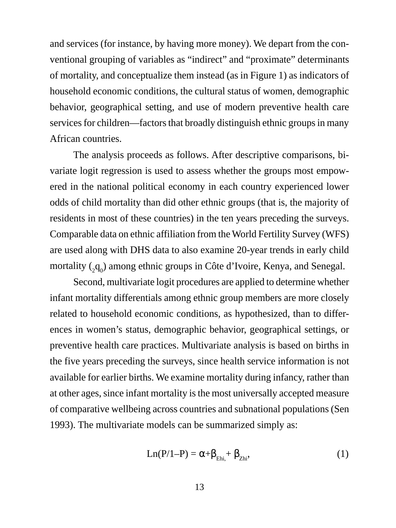and services (for instance, by having more money). We depart from the conventional grouping of variables as "indirect" and "proximate" determinants of mortality, and conceptualize them instead (as in Figure 1) as indicators of household economic conditions, the cultural status of women, demographic behavior, geographical setting, and use of modern preventive health care services for children—factors that broadly distinguish ethnic groups in many African countries.

The analysis proceeds as follows. After descriptive comparisons, bivariate logit regression is used to assess whether the groups most empowered in the national political economy in each country experienced lower odds of child mortality than did other ethnic groups (that is, the majority of residents in most of these countries) in the ten years preceding the surveys. Comparable data on ethnic affiliation from the World Fertility Survey (WFS) are used along with DHS data to also examine 20-year trends in early child mortality  $(_{2}q_{0})$  among ethnic groups in Côte d'Ivoire, Kenya, and Senegal.

Second, multivariate logit procedures are applied to determine whether infant mortality differentials among ethnic group members are more closely related to household economic conditions, as hypothesized, than to differences in women's status, demographic behavior, geographical settings, or preventive health care practices. Multivariate analysis is based on births in the five years preceding the surveys, since health service information is not available for earlier births. We examine mortality during infancy, rather than at other ages, since infant mortality is the most universally accepted measure of comparative wellbeing across countries and subnational populations (Sen 1993). The multivariate models can be summarized simply as:

$$
Ln(P/1-P) = \alpha + \beta_{Ehi} + \beta_{Zhi},
$$
 (1)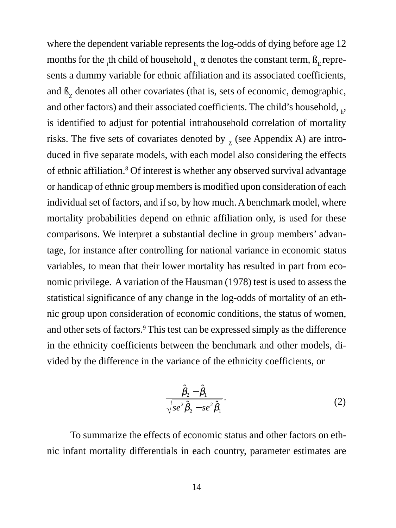where the dependent variable represents the log-odds of dying before age 12 months for the <sub>i</sub>th child of household  $_{h_i}$   $\alpha$  denotes the constant term,  $\beta$ <sub>E</sub> represents a dummy variable for ethnic affiliation and its associated coefficients, and  $\beta$ <sub>z</sub> denotes all other covariates (that is, sets of economic, demographic, and other factors) and their associated coefficients. The child's household,  $_h$ , is identified to adjust for potential intrahousehold correlation of mortality risks. The five sets of covariates denoted by  $Z$  (see Appendix A) are introduced in five separate models, with each model also considering the effects of ethnic affiliation.<sup>8</sup> Of interest is whether any observed survival advantage or handicap of ethnic group members is modified upon consideration of each individual set of factors, and if so, by how much. A benchmark model, where mortality probabilities depend on ethnic affiliation only, is used for these comparisons. We interpret a substantial decline in group members' advantage, for instance after controlling for national variance in economic status variables, to mean that their lower mortality has resulted in part from economic privilege. A variation of the Hausman (1978) test is used to assess the statistical significance of any change in the log-odds of mortality of an ethnic group upon consideration of economic conditions, the status of women, and other sets of factors.<sup>9</sup> This test can be expressed simply as the difference in the ethnicity coefficients between the benchmark and other models, divided by the difference in the variance of the ethnicity coefficients, or

$$
\frac{\hat{\beta}_2 - \hat{\beta}_1}{\sqrt{se^2 \hat{\beta}_2 - se^2 \hat{\beta}_1}}.
$$
\n(2)

To summarize the effects of economic status and other factors on ethnic infant mortality differentials in each country, parameter estimates are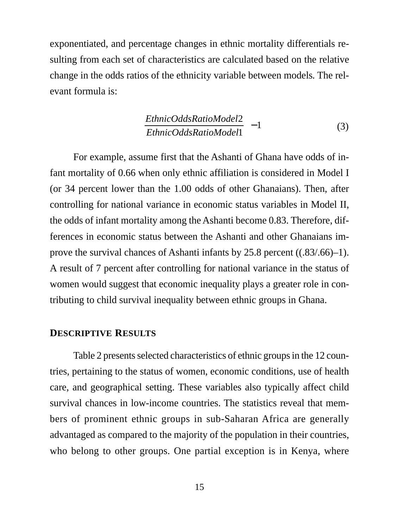exponentiated, and percentage changes in ethnic mortality differentials resulting from each set of characteristics are calculated based on the relative change in the odds ratios of the ethnicity variable between models*.* The relevant formula is:

$$
\left(\frac{EthnicOddsRatioModel2}{EthnicOddsRatioModel1}\right) - 1\tag{3}
$$

For example, assume first that the Ashanti of Ghana have odds of infant mortality of 0.66 when only ethnic affiliation is considered in Model I (or 34 percent lower than the 1.00 odds of other Ghanaians). Then, after controlling for national variance in economic status variables in Model II, the odds of infant mortality among the Ashanti become 0.83. Therefore, differences in economic status between the Ashanti and other Ghanaians improve the survival chances of Ashanti infants by 25.8 percent ((.83/.66)–1). A result of 7 percent after controlling for national variance in the status of women would suggest that economic inequality plays a greater role in contributing to child survival inequality between ethnic groups in Ghana.

#### **DESCRIPTIVE RESULTS**

Table 2 presents selected characteristics of ethnic groups in the 12 countries, pertaining to the status of women, economic conditions, use of health care, and geographical setting. These variables also typically affect child survival chances in low-income countries. The statistics reveal that members of prominent ethnic groups in sub-Saharan Africa are generally advantaged as compared to the majority of the population in their countries, who belong to other groups. One partial exception is in Kenya, where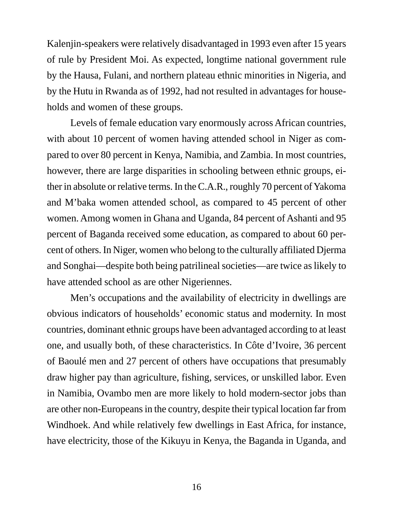Kalenjin-speakers were relatively disadvantaged in 1993 even after 15 years of rule by President Moi. As expected, longtime national government rule by the Hausa, Fulani, and northern plateau ethnic minorities in Nigeria, and by the Hutu in Rwanda as of 1992, had not resulted in advantages for households and women of these groups.

Levels of female education vary enormously across African countries, with about 10 percent of women having attended school in Niger as compared to over 80 percent in Kenya, Namibia, and Zambia. In most countries, however, there are large disparities in schooling between ethnic groups, either in absolute or relative terms. In the C.A.R., roughly 70 percent of Yakoma and M'baka women attended school, as compared to 45 percent of other women. Among women in Ghana and Uganda, 84 percent of Ashanti and 95 percent of Baganda received some education, as compared to about 60 percent of others. In Niger, women who belong to the culturally affiliated Djerma and Songhai—despite both being patrilineal societies—are twice as likely to have attended school as are other Nigeriennes.

Men's occupations and the availability of electricity in dwellings are obvious indicators of households' economic status and modernity. In most countries, dominant ethnic groups have been advantaged according to at least one, and usually both, of these characteristics. In Côte d'Ivoire, 36 percent of Baoulé men and 27 percent of others have occupations that presumably draw higher pay than agriculture, fishing, services, or unskilled labor. Even in Namibia, Ovambo men are more likely to hold modern-sector jobs than are other non-Europeans in the country, despite their typical location far from Windhoek. And while relatively few dwellings in East Africa, for instance, have electricity, those of the Kikuyu in Kenya, the Baganda in Uganda, and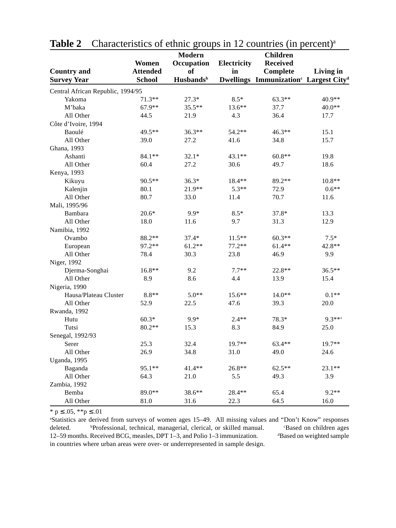|                                   |                 | Modern                       |             | <b>Children</b>                                               |           |
|-----------------------------------|-----------------|------------------------------|-------------|---------------------------------------------------------------|-----------|
|                                   | Women           | Occupation                   | Electricity | <b>Received</b>                                               |           |
| <b>Country and</b>                | <b>Attended</b> | of                           | in          | Complete                                                      | Living in |
| <b>Survey Year</b>                | School          | <b>Husbands</b> <sup>b</sup> |             | Dwellings Immunization <sup>c</sup> Largest City <sup>d</sup> |           |
| Central African Republic, 1994/95 |                 |                              |             |                                                               |           |
| Yakoma                            | $71.3**$        | $27.3*$                      | $8.5*$      | $63.3**$                                                      | 40.9**    |
| M'baka                            | $67.9**$        | $35.5***$                    | $13.6***$   | 37.7                                                          | $40.0**$  |
| All Other                         | 44.5            | 21.9                         | 4.3         | 36.4                                                          | 17.7      |
| Côte d'Ivoire, 1994               |                 |                              |             |                                                               |           |
| Baoulé                            | 49.5**          | $36.3**$                     | 54.2**      | $46.3**$                                                      | 15.1      |
| All Other                         | 39.0            | 27.2                         | 41.6        | 34.8                                                          | 15.7      |
| Ghana, 1993                       |                 |                              |             |                                                               |           |
| Ashanti                           | 84.1**          | $32.1*$                      | 43.1**      | $60.8**$                                                      | 19.8      |
| All Other                         | 60.4            | 27.2                         | 30.6        | 49.7                                                          | 18.6      |
| Kenya, 1993                       |                 |                              |             |                                                               |           |
| Kikuyu                            | $90.5**$        | $36.3*$                      | 18.4**      | 89.2**                                                        | 10.8**    |
| Kalenjin                          | 80.1            | 21.9**                       | $5.3**$     | 72.9                                                          | $0.6**$   |
| All Other                         | 80.7            | 33.0                         | 11.4        | 70.7                                                          | 11.6      |
| Mali, 1995/96                     |                 |                              |             |                                                               |           |
| Bambara                           | $20.6*$         | $9.9*$                       | $8.5*$      | 37.8*                                                         | 13.3      |
| All Other                         | 18.0            | 11.6                         | 9.7         | 31.3                                                          | 12.9      |
| Namibia, 1992                     |                 |                              |             |                                                               |           |
| Ovambo                            | 88.2**          | $37.4*$                      | $11.5***$   | $60.3**$                                                      | $7.5*$    |
| European                          | 97.2**          | $61.2**$                     | $77.2**$    | $61.4**$                                                      | 42.8**    |
| All Other                         | 78.4            | 30.3                         | 23.8        | 46.9                                                          | 9.9       |
| Niger, 1992                       |                 |                              |             |                                                               |           |
| Djerma-Songhai                    | $16.8**$        | 9.2                          | $7.7**$     | 22.8**                                                        | $36.5***$ |
| All Other                         | 8.9             | 8.6                          | 4.4         | 13.9                                                          | 15.4      |
| Nigeria, 1990                     |                 |                              |             |                                                               |           |
| Hausa/Plateau Cluster             | $8.8**$         | $5.0**$                      | $15.6***$   | $14.0**$                                                      | $0.1**$   |
| All Other                         | 52.9            | 22.5                         | 47.6        | 39.3                                                          | 20.0      |
| Rwanda, 1992                      |                 |                              |             |                                                               |           |
| Hutu                              | $60.3*$         | $9.9*$                       | $2.4**$     | 78.3*                                                         | $9.3***$  |
| Tutsi                             | $80.2**$        | 15.3                         | 8.3         | 84.9                                                          | 25.0      |
| Senegal, 1992/93                  |                 |                              |             |                                                               |           |
| Serer                             | 25.3            | 32.4                         | 19.7**      | 63.4**                                                        | 19.7**    |
| All Other                         | 26.9            | 34.8                         | 31.0        | 49.0                                                          | 24.6      |
| Uganda, 1995                      |                 |                              |             |                                                               |           |
| Baganda                           | 95.1**          | $41.4**$                     | 26.8**      | $62.5**$                                                      | 23.1**    |
| All Other                         | 64.3            | 21.0                         | 5.5         | 49.3                                                          | 3.9       |
| Zambia, 1992                      |                 |                              |             |                                                               |           |
| Bemba                             | 89.0**          | 38.6**                       | 28.4**      | 65.4                                                          | $9.2**$   |
| All Other                         | 81.0            | 31.6                         | 22.3        | 64.5                                                          | 16.0      |

**Table 2** Characteristics of ethnic groups in 12 countries (in percent)<sup>a</sup>

\* p  $\leq .05$ , \*\*p  $\leq .01$ 

a Statistics are derived from surveys of women ages 15–49. All missing values and "Don't Know" responses deleted. **Professional, technical, managerial, clerical, or skilled manual.** Based on children ages 12–59 months. Received BCG, measles, DPT 1–3, and Polio 1–3 immunization. Based on weighted sample in countries where urban areas were over- or underrepresented in sample design.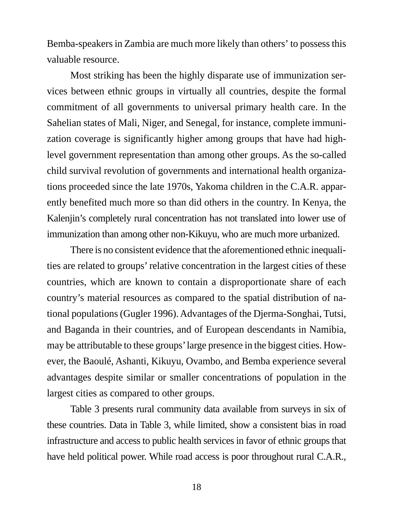Bemba-speakers in Zambia are much more likely than others' to possess this valuable resource.

Most striking has been the highly disparate use of immunization services between ethnic groups in virtually all countries, despite the formal commitment of all governments to universal primary health care. In the Sahelian states of Mali, Niger, and Senegal, for instance, complete immunization coverage is significantly higher among groups that have had highlevel government representation than among other groups. As the so-called child survival revolution of governments and international health organizations proceeded since the late 1970s, Yakoma children in the C.A.R. apparently benefited much more so than did others in the country. In Kenya, the Kalenjin's completely rural concentration has not translated into lower use of immunization than among other non-Kikuyu, who are much more urbanized.

There is no consistent evidence that the aforementioned ethnic inequalities are related to groups' relative concentration in the largest cities of these countries, which are known to contain a disproportionate share of each country's material resources as compared to the spatial distribution of national populations (Gugler 1996). Advantages of the Djerma-Songhai, Tutsi, and Baganda in their countries, and of European descendants in Namibia, may be attributable to these groups' large presence in the biggest cities. However, the Baoulé, Ashanti, Kikuyu, Ovambo, and Bemba experience several advantages despite similar or smaller concentrations of population in the largest cities as compared to other groups.

Table 3 presents rural community data available from surveys in six of these countries. Data in Table 3, while limited, show a consistent bias in road infrastructure and access to public health services in favor of ethnic groups that have held political power. While road access is poor throughout rural C.A.R.,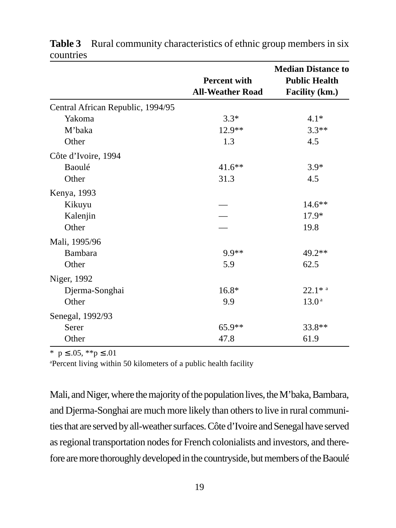|                                   | <b>Percent with</b><br><b>All-Weather Road</b> | <b>Median Distance to</b><br><b>Public Health</b><br>Facility (km.) |
|-----------------------------------|------------------------------------------------|---------------------------------------------------------------------|
| Central African Republic, 1994/95 |                                                |                                                                     |
| Yakoma                            | $3.3*$                                         | $4.1*$                                                              |
| M'baka                            | 12.9**                                         | $3.3**$                                                             |
| Other                             | 1.3                                            | 4.5                                                                 |
| Côte d'Ivoire, 1994               |                                                |                                                                     |
| Baoulé                            | $41.6**$                                       | $3.9*$                                                              |
| Other                             | 31.3                                           | 4.5                                                                 |
| Kenya, 1993                       |                                                |                                                                     |
| Kikuyu                            |                                                | $14.6**$                                                            |
| Kalenjin                          |                                                | $17.9*$                                                             |
| Other                             |                                                | 19.8                                                                |
| Mali, 1995/96                     |                                                |                                                                     |
| Bambara                           | 9.9**                                          | 49.2**                                                              |
| Other                             | 5.9                                            | 62.5                                                                |
| Niger, 1992                       |                                                |                                                                     |
| Djerma-Songhai                    | $16.8*$                                        | $22.1*$ <sup>a</sup>                                                |
| Other                             | 9.9                                            | 13.0 <sup>a</sup>                                                   |
| Senegal, 1992/93                  |                                                |                                                                     |
| Serer                             | $65.9**$                                       | 33.8**                                                              |
| Other                             | 47.8                                           | 61.9                                                                |

**Table 3** Rural community characteristics of ethnic group members in six countries

\*  $p \leq .05$ , \*\* $p \leq .01$ 

a Percent living within 50 kilometers of a public health facility

Mali, and Niger, where the majority of the population lives, the M'baka, Bambara, and Djerma-Songhai are much more likely than others to live in rural communities that are served by all-weather surfaces. Côte d'Ivoire and Senegal have served as regional transportation nodes for French colonialists and investors, and therefore are more thoroughly developed in the countryside, but members of the Baoulé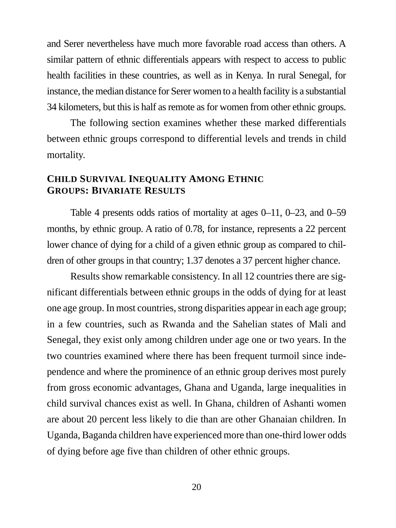and Serer nevertheless have much more favorable road access than others. A similar pattern of ethnic differentials appears with respect to access to public health facilities in these countries, as well as in Kenya. In rural Senegal, for instance, the median distance for Serer women to a health facility is a substantial 34 kilometers, but this is half as remote as for women from other ethnic groups.

The following section examines whether these marked differentials between ethnic groups correspond to differential levels and trends in child mortality.

# **CHILD SURVIVAL INEQUALITY AMONG ETHNIC GROUPS: BIVARIATE RESULTS**

Table 4 presents odds ratios of mortality at ages 0–11, 0–23, and 0–59 months, by ethnic group. A ratio of 0.78, for instance, represents a 22 percent lower chance of dying for a child of a given ethnic group as compared to children of other groups in that country; 1.37 denotes a 37 percent higher chance.

Results show remarkable consistency. In all 12 countries there are significant differentials between ethnic groups in the odds of dying for at least one age group. In most countries, strong disparities appear in each age group; in a few countries, such as Rwanda and the Sahelian states of Mali and Senegal, they exist only among children under age one or two years. In the two countries examined where there has been frequent turmoil since independence and where the prominence of an ethnic group derives most purely from gross economic advantages, Ghana and Uganda, large inequalities in child survival chances exist as well. In Ghana, children of Ashanti women are about 20 percent less likely to die than are other Ghanaian children. In Uganda, Baganda children have experienced more than one-third lower odds of dying before age five than children of other ethnic groups.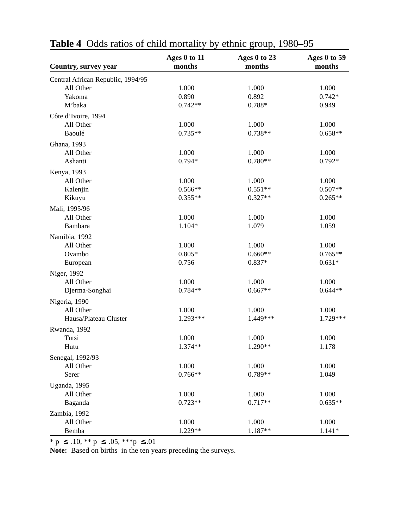|                                   | Ages 0 to 11 | Ages 0 to 23 | Ages 0 to 59 |
|-----------------------------------|--------------|--------------|--------------|
| Country, survey year              | months       | months       | months       |
| Central African Republic, 1994/95 |              |              |              |
| All Other                         | 1.000        | 1.000        | 1.000        |
| Yakoma                            | 0.890        | 0.892        | $0.742*$     |
| M'baka                            | $0.742**$    | 0.788*       | 0.949        |
| Côte d'Ivoire, 1994               |              |              |              |
| All Other                         | 1.000        | 1.000        | 1.000        |
| Baoulé                            | $0.735**$    | $0.738**$    | $0.658**$    |
| Ghana, 1993                       |              |              |              |
| All Other                         | 1.000        | 1.000        | 1.000        |
| Ashanti                           | $0.794*$     | $0.780**$    | $0.792*$     |
| Kenya, 1993                       |              |              |              |
| All Other                         | 1.000        | 1.000        | 1.000        |
| Kalenjin                          | $0.566**$    | $0.551**$    | $0.507**$    |
| Kikuyu                            | $0.355**$    | $0.327**$    | $0.265**$    |
| Mali, 1995/96                     |              |              |              |
| All Other                         | 1.000        | 1.000        | 1.000        |
| Bambara                           | 1.104*       | 1.079        | 1.059        |
|                                   |              |              |              |
| Namibia, 1992                     |              |              |              |
| All Other                         | 1.000        | 1.000        | 1.000        |
| Ovambo                            | $0.805*$     | $0.660**$    | $0.765**$    |
| European                          | 0.756        | $0.837*$     | $0.631*$     |
| Niger, 1992                       |              |              |              |
| All Other                         | 1.000        | 1.000        | 1.000        |
| Djerma-Songhai                    | $0.784**$    | $0.667**$    | $0.644**$    |
| Nigeria, 1990                     |              |              |              |
| All Other                         | 1.000        | 1.000        | 1.000        |
| Hausa/Plateau Cluster             | 1.293***     | 1.449***     | 1.729***     |
| Rwanda, 1992                      |              |              |              |
| Tutsi                             | 1.000        | 1.000        | 1.000        |
| Hutu                              | 1.374**      | $1.290**$    | 1.178        |
| Senegal, 1992/93                  |              |              |              |
| All Other                         | 1.000        | 1.000        | 1.000        |
| Serer                             | $0.766**$    | $0.789**$    | 1.049        |
| Uganda, 1995                      |              |              |              |
| All Other                         | 1.000        | 1.000        | 1.000        |
| Baganda                           | $0.723**$    | $0.717**$    | $0.635**$    |
|                                   |              |              |              |
| Zambia, 1992                      |              |              |              |
| All Other                         | 1.000        | 1.000        | 1.000        |
| Bemba                             | 1.229**      | 1.187**      | $1.141*$     |

| <b>Table 4</b> Odds ratios of child mortality by ethnic group, 1980–95 |  |
|------------------------------------------------------------------------|--|
|                                                                        |  |

 $*$  p  $\leq$  .10,  $**$  p  $\leq$  .05,  $***$  p  $\leq$  .01

**Note:** Based on births in the ten years preceding the surveys.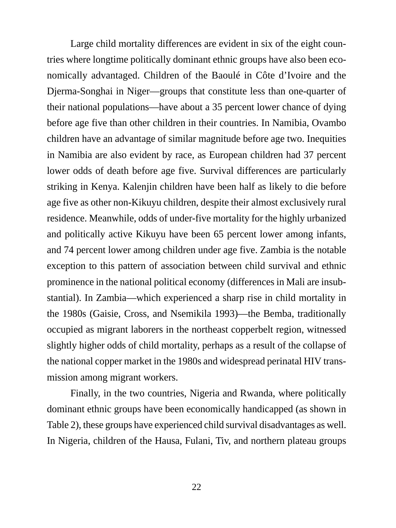Large child mortality differences are evident in six of the eight countries where longtime politically dominant ethnic groups have also been economically advantaged. Children of the Baoulé in Côte d'Ivoire and the Djerma-Songhai in Niger—groups that constitute less than one-quarter of their national populations—have about a 35 percent lower chance of dying before age five than other children in their countries. In Namibia, Ovambo children have an advantage of similar magnitude before age two. Inequities in Namibia are also evident by race, as European children had 37 percent lower odds of death before age five. Survival differences are particularly striking in Kenya. Kalenjin children have been half as likely to die before age five as other non-Kikuyu children, despite their almost exclusively rural residence. Meanwhile, odds of under-five mortality for the highly urbanized and politically active Kikuyu have been 65 percent lower among infants, and 74 percent lower among children under age five. Zambia is the notable exception to this pattern of association between child survival and ethnic prominence in the national political economy (differences in Mali are insubstantial). In Zambia—which experienced a sharp rise in child mortality in the 1980s (Gaisie, Cross, and Nsemikila 1993)—the Bemba, traditionally occupied as migrant laborers in the northeast copperbelt region, witnessed slightly higher odds of child mortality, perhaps as a result of the collapse of the national copper market in the 1980s and widespread perinatal HIV transmission among migrant workers.

Finally, in the two countries, Nigeria and Rwanda, where politically dominant ethnic groups have been economically handicapped (as shown in Table 2), these groups have experienced child survival disadvantages as well. In Nigeria, children of the Hausa, Fulani, Tiv, and northern plateau groups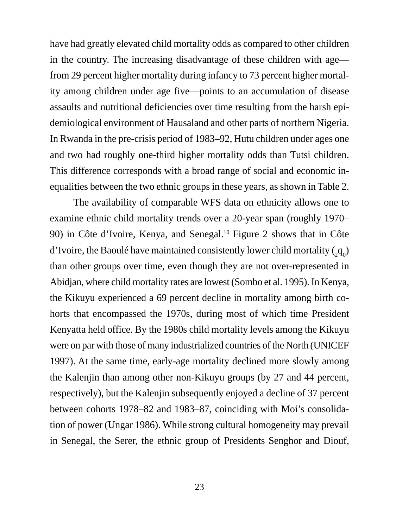have had greatly elevated child mortality odds as compared to other children in the country. The increasing disadvantage of these children with age from 29 percent higher mortality during infancy to 73 percent higher mortality among children under age five—points to an accumulation of disease assaults and nutritional deficiencies over time resulting from the harsh epidemiological environment of Hausaland and other parts of northern Nigeria. In Rwanda in the pre-crisis period of 1983–92, Hutu children under ages one and two had roughly one-third higher mortality odds than Tutsi children. This difference corresponds with a broad range of social and economic inequalities between the two ethnic groups in these years, as shown in Table 2.

The availability of comparable WFS data on ethnicity allows one to examine ethnic child mortality trends over a 20-year span (roughly 1970– 90) in Côte d'Ivoire, Kenya, and Senegal.10 Figure 2 shows that in Côte d'Ivoire, the Baoulé have maintained consistently lower child mortality  $({}_2\mathrm{q}_0)$ than other groups over time, even though they are not over-represented in Abidjan, where child mortality rates are lowest (Sombo et al. 1995). In Kenya, the Kikuyu experienced a 69 percent decline in mortality among birth cohorts that encompassed the 1970s, during most of which time President Kenyatta held office. By the 1980s child mortality levels among the Kikuyu were on par with those of many industrialized countries of the North (UNICEF 1997). At the same time, early-age mortality declined more slowly among the Kalenjin than among other non-Kikuyu groups (by 27 and 44 percent, respectively), but the Kalenjin subsequently enjoyed a decline of 37 percent between cohorts 1978–82 and 1983–87, coinciding with Moi's consolidation of power (Ungar 1986). While strong cultural homogeneity may prevail in Senegal, the Serer, the ethnic group of Presidents Senghor and Diouf,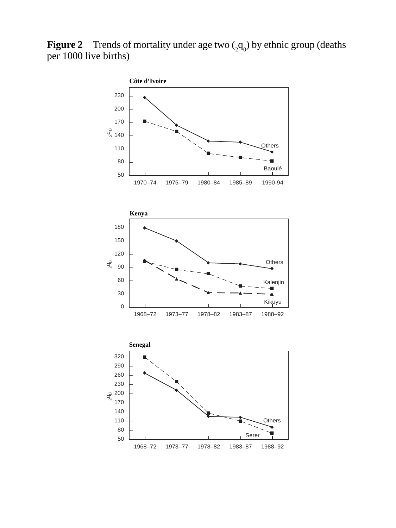**Figure 2** Trends of mortality under age two  $\binom{1}{2}$  by ethnic group (deaths per 1000 live births)

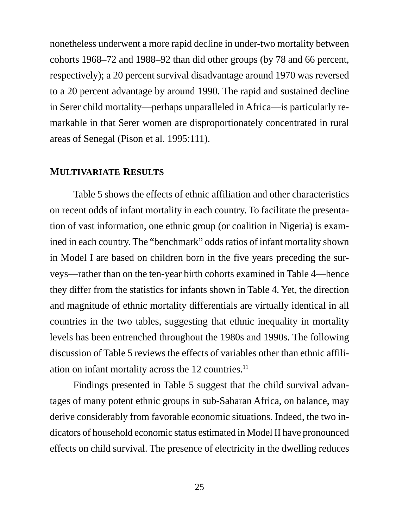nonetheless underwent a more rapid decline in under-two mortality between cohorts 1968–72 and 1988–92 than did other groups (by 78 and 66 percent, respectively); a 20 percent survival disadvantage around 1970 was reversed to a 20 percent advantage by around 1990. The rapid and sustained decline in Serer child mortality—perhaps unparalleled in Africa—is particularly remarkable in that Serer women are disproportionately concentrated in rural areas of Senegal (Pison et al. 1995:111).

## **MULTIVARIATE RESULTS**

Table 5 shows the effects of ethnic affiliation and other characteristics on recent odds of infant mortality in each country. To facilitate the presentation of vast information, one ethnic group (or coalition in Nigeria) is examined in each country. The "benchmark" odds ratios of infant mortality shown in Model I are based on children born in the five years preceding the surveys—rather than on the ten-year birth cohorts examined in Table 4—hence they differ from the statistics for infants shown in Table 4. Yet, the direction and magnitude of ethnic mortality differentials are virtually identical in all countries in the two tables, suggesting that ethnic inequality in mortality levels has been entrenched throughout the 1980s and 1990s. The following discussion of Table 5 reviews the effects of variables other than ethnic affiliation on infant mortality across the 12 countries.<sup>11</sup>

Findings presented in Table 5 suggest that the child survival advantages of many potent ethnic groups in sub-Saharan Africa, on balance, may derive considerably from favorable economic situations. Indeed, the two indicators of household economic status estimated in Model II have pronounced effects on child survival. The presence of electricity in the dwelling reduces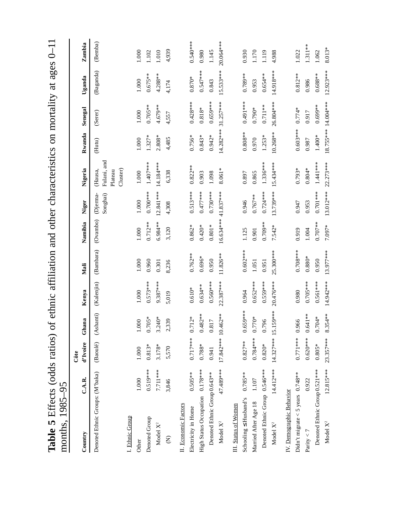| months, 1985-95                     |             |                      |                      |             |            |                     |                     |                                               |            |                     |             |            |
|-------------------------------------|-------------|----------------------|----------------------|-------------|------------|---------------------|---------------------|-----------------------------------------------|------------|---------------------|-------------|------------|
| Country                             | C.A.R.      | d'Ivoire<br>Côte     | Ghana                | Kenya       | Mali       | Namibia             | Niger               | Nigeria                                       | Rwanda     | Senegal             | Uganda      | Zambia     |
| Denoted Ethnic Groups: (M'baka)     |             | (Baoulé)             | (Ashanti) (Kalenjin) |             | (Bambara)  | (Ovambo)            | Songhai)<br>Djerma- | Fulani, and<br>Cluster)<br>(Hausa,<br>Plateau | (Hutu)     | (Serer)             | (Baganda)   | (Bemba)    |
| I. Ethnic Group                     |             |                      |                      |             |            |                     |                     |                                               |            |                     |             |            |
| Other                               | 1.000       | 1.000                | 1.000                | 1.000       | 1.000      | 1.000               | 1.000               | 1.000                                         | 1.000      | 1.000               | 1.000       | 1.000      |
| Denoted Group                       | $0.519***$  | $0.813*$             | $0.705*$             | $0.573***$  | 0.960      | $0.712**$           | $0.700***$          | $1.407***$                                    | $1.327*$   | $0.705***$          | $0.675***$  | 1.102      |
| Model $X^2$                         | 7.711***    | 3.178*               | $3.240*$             | $9.387***$  | 0.301      | 6.984 **            | $12.841***$         | 14.184 ***                                    | $2.808*$   | $4.679***$          | $4.288***$  | 1.010      |
| Ê                                   | 3,846       | 5,570                | 2,339                | 5,019       | 8,236      | 3,120               | 4,308               | 6,338                                         | 4,485      | 4,557               | 4,174       | 4,939      |
| II. Economic Factors                |             |                      |                      |             |            |                     |                     |                                               |            |                     |             |            |
| Electricity in Home                 | $0.505***$  | $0.717***$           | $0.712*$             | $0.610*$    | $0.762***$ | $0.862*$            | $0.513***$          | $0.822***$                                    | $0.756*$   | $0.428***$          | $0.870*$    | 0.540 ***  |
| High Status Occupation 0.178***     |             | $0.788*$             | $0.482**$            | $0.634***$  | $0.696*$   | $0.420*$            | $0.477***$          | 0.903                                         | $0.843*$   | $0.818*$            | $0.547***$  | 0.980      |
| Denoted Ethnic Group 0.643**        |             | 0.941                | 0.817                | $0.560***$  | 0.950      | $0.801*$            | $0.730***$          | 1.098                                         | $0.942*$   | $0.659***$          | 0.843       | 1.145      |
| Model $\mathbf{X}^2$                | 47.489***   | $17.842***10.462***$ |                      | $22.387***$ | $11.826**$ | 16.634*** 41.837*** |                     | 8.061*                                        |            | 14.282*** 31.257*** | $15.533***$ | 20.064***  |
| III. Status of Women                |             |                      |                      |             |            |                     |                     |                                               |            |                     |             |            |
| Schooling $\leq$ Husband's          | $0.785**$   | $0.827**$            | $0.659***$           | 0.964       | $0.602***$ | 1.125               | 0.946               | 0.897                                         | $0.808**$  | 0.491 ***           | $0.789**$   | 0.930      |
| Married After Age 18                | 1.107       | $0.784***$           | $0.770*$             | $0.652***$  | 1.051      | 0.901               | $0.767**$           | 0.865                                         | 0.970      | $0.790*$            | 0.953       | 1.170      |
| Denoted Ethnic Group 0.546***       |             | $0.820*$             | 0.796                | $0.559***$  | 0.951      | $0.709***$          | $0.724***$          | $1.336***$                                    | $1.253*$   | $0.711**$           | $0.654**$   | 1.119      |
| Model X <sup>2</sup>                | 14.412***   |                      | 14.327*** 15.159***  | 20.476***   | 25.300***  | $7.542*$            | 13.739*** 15.434*** |                                               | $10.268**$ | 26.804***           | 14.918***   | 4.988      |
| IV. Demographic Behavior            |             |                      |                      |             |            |                     |                     |                                               |            |                     |             |            |
| Didn't migrate < 5 years $0.748***$ |             | $0.771***$ 0.966     |                      | 0.980       | $0.708***$ | 0.919               | 0.947               | $0.793*$                                      | $0.603***$ | $0.774*$            | $0.812***$  | 1.022      |
| Parity $<$ 7                        | 0.922       | $0.620***$           | $0.641**$            | $0.705***$  | $0.880*$   | 1.004               | 0.953               | $0.804*$                                      | 0.987      | 0.917               | 0.986       | $1.311***$ |
| Denoted Ethnic Group 0.521 ***      |             | $0.805*$             | $0.704*$             | $0.561***$  | 0.950      | $0.707**$           | $0.701***$          | $1.441***$                                    | $1.400*$   | $0.699**$           | $0.688**$   | 1.062      |
| Model X <sup>2</sup>                | $12.815***$ | $23.357***$          | $8.354***$           | 14.942 ***  | 13.977***  | 7.097*              |                     | 13.012*** 22.273***                           |            | 18.755*** 14.004*** | $12.923***$ | 8.013*     |

Table 5 Effects (odds ratios) of ethnic affiliation and other characteristics on mortality at ages 0-11 **Table 5** Effects (odds ratios) of ethnic affiliation and other characteristics on mortality at ages 0–11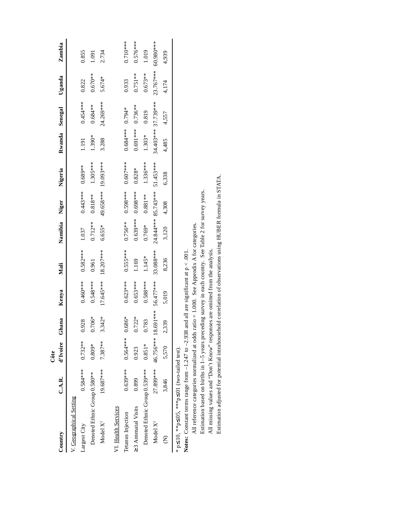|                                               |            | Côte                |          |            |            |             |                                  |                                                                       |                     |            |             |             |
|-----------------------------------------------|------------|---------------------|----------|------------|------------|-------------|----------------------------------|-----------------------------------------------------------------------|---------------------|------------|-------------|-------------|
| Country                                       | C.A.R.     |                     |          |            |            |             |                                  | d'Ivoire Ghana Kenya Mali Namibia Niger Nigeria Rwanda Senegal Uganda |                     |            |             | Zambia      |
| V. Geographical Setting                       |            |                     |          |            |            |             |                                  |                                                                       |                     |            |             |             |
| Largest City                                  | $0.584***$ | $0.732***$          | 0.928    | $0.460***$ | $0.582***$ | 1.037       | $0.443***$                       | $0.689***$                                                            | 1.191               | $0.454***$ | 0.822       | 0.855       |
| Denoted Ethnic Group 0.580**                  |            | $0.809*$            | $0.706*$ | $0.548***$ | 0.961      | $0.712***$  | $0.818**$                        | $1.305***$                                                            | 1.390*              | $0.684***$ | $0.670**$   | 1.091       |
| Model X <sup>2</sup>                          | 19.687***  | 7.387**             | $3.342*$ | 17.645***  | 18.207***  | $6.655*$    | 49.658*** 19.093***              |                                                                       | 3.288               | 24.269***  | 5.674*      | 2.734       |
| VI. Health Services                           |            |                     |          |            |            |             |                                  |                                                                       |                     |            |             |             |
| Tetanus Injection                             | $0.639***$ | $0.564***$ $0.686*$ |          | $0.623***$ | $0.555***$ |             | $0.756***$ $0.598***$ $0.607***$ |                                                                       | $0.684***0.794*$    |            | 0.933       | $0.710***$  |
| $\geq$ 3 Antenatal Visits                     | 0.899      | 0.923               | $0.722*$ | $0.653***$ | 1.169      |             | 0.639**** 0.698***               | $0.828*$                                                              | $0.691***$          | $0.736**$  | $0.751**$   | $0.576***$  |
| Denoted Ethnic Group 0.539***                 |            | $0.851*$            | 0.783    | $0.588***$ | $1.145*$   | $0.769*$    | $0.881***$                       | 1.336***                                                              | $1.303*$            | 0.819      | $0.673**$   | 1.019       |
| Model X <sup>2</sup>                          | 27.899***  |                     |          |            |            |             |                                  | 46.756*** 18.691*** 56.477*** 33.088*** 24.844*** 85.743*** 51.453*** | 34.403*** 37.739*** |            | $23.767***$ | $60.980***$ |
|                                               | 3,846      | 5,570               | 2,339    | 5,019      | 8,236      | 3,120 4,308 |                                  | 6,338                                                                 | 4,485               | 4,557      | 4.174       | 4,939       |
| * p≤.10, **p≤.05, ***p≤.01 (two-tailed test). |            |                     |          |            |            |             |                                  |                                                                       |                     |            |             |             |

\* p≤.10, \*\*p≤.05, \*\*\*p≤.01 (two-tailed test).

Notes: Constant terms range from  $-1.247$  to  $-2.938$  and all are significant at  $p < .001$ . **Notes:** Constant terms range from  $-1.247$  to  $-2.938$  and all are significant at  $p < 0.001$ .

Estimation adjusted for potential intrahousehold correlation of observations using HUBER formula in STATA. Estimation adjusted for potential intrahousehold correlation of observations using HUBER formula in STATA.Estimation based on births in 1-5 years preceding survey in each country. See Table 2 for survey years. Estimation based on births in 1–5 years preceding survey in each country. See Table 2 for survey years. All reference categories normalized at odds ratio = 1.000. See Appendix A for categories. All reference categories normalized at odds ratio = 1.000. See Appendix A for categories. All missing values and "Don't Know" responses are omitted from the analysis. All missing values and "Don't Know" responses are omitted from the analysis.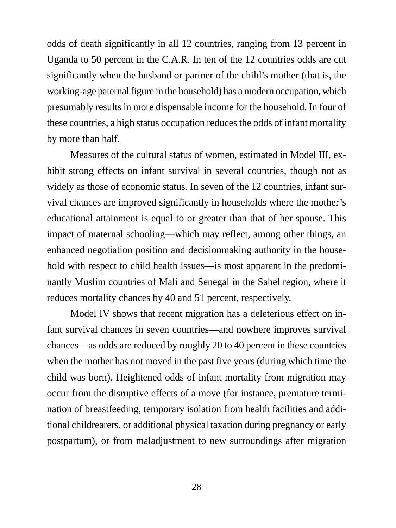odds of death significantly in all 12 countries, ranging from 13 percent in Uganda to 50 percent in the C.A.R. In ten of the 12 countries odds are cut significantly when the husband or partner of the child's mother (that is, the working-age paternal figure in the household) has a modern occupation, which presumably results in more dispensable income for the household. In four of these countries, a high status occupation reduces the odds of infant mortality by more than half.

Measures of the cultural status of women, estimated in Model III, exhibit strong effects on infant survival in several countries, though not as widely as those of economic status. In seven of the 12 countries, infant survival chances are improved significantly in households where the mother's educational attainment is equal to or greater than that of her spouse. This impact of maternal schooling—which may reflect, among other things, an enhanced negotiation position and decisionmaking authority in the household with respect to child health issues—is most apparent in the predominantly Muslim countries of Mali and Senegal in the Sahel region, where it reduces mortality chances by 40 and 51 percent, respectively.

Model IV shows that recent migration has a deleterious effect on infant survival chances in seven countries—and nowhere improves survival chances—as odds are reduced by roughly 20 to 40 percent in these countries when the mother has not moved in the past five years (during which time the child was born). Heightened odds of infant mortality from migration may occur from the disruptive effects of a move (for instance, premature termination of breastfeeding, temporary isolation from health facilities and additional childrearers, or additional physical taxation during pregnancy or early postpartum), or from maladjustment to new surroundings after migration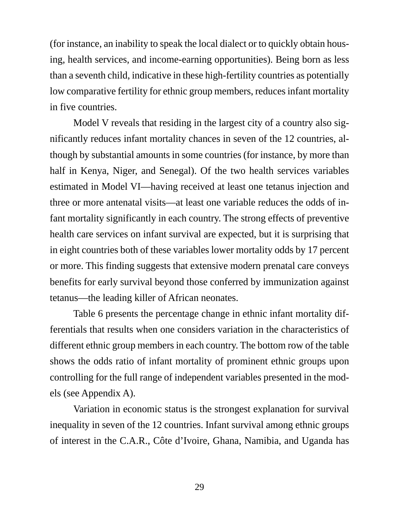(for instance, an inability to speak the local dialect or to quickly obtain housing, health services, and income-earning opportunities). Being born as less than a seventh child, indicative in these high-fertility countries as potentially low comparative fertility for ethnic group members, reduces infant mortality in five countries.

Model V reveals that residing in the largest city of a country also significantly reduces infant mortality chances in seven of the 12 countries, although by substantial amounts in some countries (for instance, by more than half in Kenya, Niger, and Senegal). Of the two health services variables estimated in Model VI—having received at least one tetanus injection and three or more antenatal visits—at least one variable reduces the odds of infant mortality significantly in each country. The strong effects of preventive health care services on infant survival are expected, but it is surprising that in eight countries both of these variables lower mortality odds by 17 percent or more. This finding suggests that extensive modern prenatal care conveys benefits for early survival beyond those conferred by immunization against tetanus—the leading killer of African neonates.

Table 6 presents the percentage change in ethnic infant mortality differentials that results when one considers variation in the characteristics of different ethnic group members in each country. The bottom row of the table shows the odds ratio of infant mortality of prominent ethnic groups upon controlling for the full range of independent variables presented in the models (see Appendix A).

Variation in economic status is the strongest explanation for survival inequality in seven of the 12 countries. Infant survival among ethnic groups of interest in the C.A.R., Côte d'Ivoire, Ghana, Namibia, and Uganda has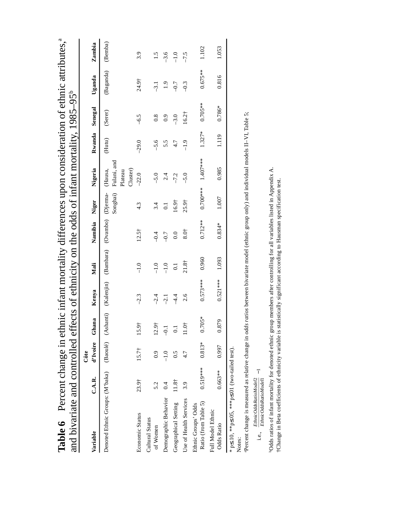| $\frac{1}{2}$ and $\frac{1}{2}$ by Eq. Change in the change in the change of the change of position of the change of the change of the change of the change of the change of the change of the change of the change of the change of |            |                |                   |            |         |               |                      |                     |          |                       |                   |               |
|--------------------------------------------------------------------------------------------------------------------------------------------------------------------------------------------------------------------------------------|------------|----------------|-------------------|------------|---------|---------------|----------------------|---------------------|----------|-----------------------|-------------------|---------------|
| and bivariate and controlled effects of ethnicity on the odds of infant mortality, $1985-95^{\circ}$                                                                                                                                 |            |                |                   |            |         |               |                      |                     |          |                       |                   |               |
|                                                                                                                                                                                                                                      |            | Côte           |                   |            |         |               |                      |                     |          |                       |                   |               |
| Variable                                                                                                                                                                                                                             | C.A.R.     | d'Ivoire       | Ghana             | Kenya      | Mali    | Namibia Niger |                      | Nigeria             |          | Rwanda Senegal Uganda |                   | Zambia        |
| Denoted Ethnic Groups: (M'baka) (Baoulé) (Ashanti) (Kalenjin) (Bambara) (Ovambo) (Djerma- (Hausa,                                                                                                                                    |            |                |                   |            |         |               | Songhai) Fulani, and | Cluster)<br>Plateau | (Hutu)   | (Serer)               | (Baganda) (Bemba) |               |
| Economic Status                                                                                                                                                                                                                      | 23.9†      | $15.7^{\circ}$ | 15.9†             | $-2.3$     | $-1.0$  | $12.5^+$      | 4.3                  | $-22.0$             | $-29.0$  | $-6.5$                | 24.9†             | 3.9           |
| Cultural Status<br>of Women                                                                                                                                                                                                          | 5.2        | 6.9            | 12.9 <sup>†</sup> | $-2.4$     | $-1.0$  | $-0.4$        | 3.4                  | $-5.0$              | $-5.6$   | $\frac{8}{2}$         | $-3.1$            | $\frac{5}{1}$ |
| Demographic Behavior                                                                                                                                                                                                                 | 0.4        |                | $-1$              | $-2.1$     | $-1.0$  | $-0.7$        |                      | 2.4                 | 5.5      | $_{0.9}$              | $\ddot{0}$        | $-3.6$        |
| Geographical Setting                                                                                                                                                                                                                 | $11.8+$    |                |                   | 4.4        |         | $_{0.0}$      | 16.9 <sup>†</sup>    | $-7.2$              | 4.7      | $-3.0$                | $-0.7$            | $-1.0$        |
| Use of Health Services                                                                                                                                                                                                               | 3.9        | 4.7            | 11.0 <sup>†</sup> | 2.6        | $21.8+$ | 8.0†          | $25.9+$              | $-5.0$              | $-1.9$   | $16.2^{+}$            | $-0.3$            | $-7.5$        |
| Ratio (from Table 5)<br>Ethnic Groups' Odds                                                                                                                                                                                          | $0.519***$ | $0.813*$       | $0.705*$          | $0.573***$ | 0.960   | $0.712***$    |                      | $0.700***$ 1.407*** | $1.327*$ | $0.705***$            | $0.675***$        | 1.102         |
| Full Model Ethnic<br>Odds Ratio                                                                                                                                                                                                      | $0.663***$ | 0.997          | 0.879             | $0.521***$ | 1.093   | $0.834*$      | 1.007                | 0.985               | 1.119    | $0.786*$              | 0.816             | 1.053         |
| * p≤.10, **p≤.05, ***p≤.01 (two-tailed test)<br>Notes:                                                                                                                                                                               |            |                |                   |            |         |               |                      |                     |          |                       |                   |               |

Percent change in ethnic infant mortality differences upon consideration of ethnic attributes.<sup>a</sup> **Table 6** Percent change in ethnic infant mortality differences upon consideration of ethnic attributes,<sup>a</sup> Table 6

Percent change is measured as relative change in *odds ratios* between bivariate model (ethnic group only) and individual models II-VI, Table 5; aPercent change is measured as relative change in *odds ratios* between bivariate model (ethnic group only) and individual models II–VI, Table 5;

 $\label{eq:inert} \text{i.e.,}\left(\frac{EthnicOddsRatioModel2}{EthnicOddsRatioModel}\right) \text{--} 1$ i.e., *EthnicOddsRatioModel EthnicOddsRatioModel*21 1 −

"Odds ratios of infant mortality for denoted ethnic group members after controlling for all variables listed in Appendix A.<br>†Change in Beta coefficients of ethnicity variable is statistically significant according to Hausm bOdds ratios of infant mortality for denoted ethnic group members after controlling for all variables listed in Appendix A. †Change in Beta coefficients of ethnicity variable is statistically significant according to Hausman specification test.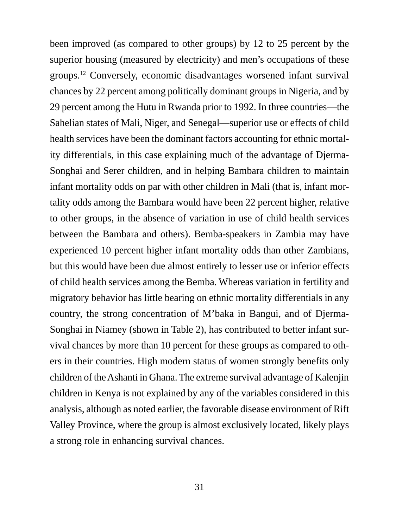been improved (as compared to other groups) by 12 to 25 percent by the superior housing (measured by electricity) and men's occupations of these groups.12 Conversely, economic disadvantages worsened infant survival chances by 22 percent among politically dominant groups in Nigeria, and by 29 percent among the Hutu in Rwanda prior to 1992. In three countries—the Sahelian states of Mali, Niger, and Senegal—superior use or effects of child health services have been the dominant factors accounting for ethnic mortality differentials, in this case explaining much of the advantage of Djerma-Songhai and Serer children, and in helping Bambara children to maintain infant mortality odds on par with other children in Mali (that is, infant mortality odds among the Bambara would have been 22 percent higher, relative to other groups, in the absence of variation in use of child health services between the Bambara and others). Bemba-speakers in Zambia may have experienced 10 percent higher infant mortality odds than other Zambians, but this would have been due almost entirely to lesser use or inferior effects of child health services among the Bemba. Whereas variation in fertility and migratory behavior has little bearing on ethnic mortality differentials in any country, the strong concentration of M'baka in Bangui, and of Djerma-Songhai in Niamey (shown in Table 2), has contributed to better infant survival chances by more than 10 percent for these groups as compared to others in their countries. High modern status of women strongly benefits only children of the Ashanti in Ghana. The extreme survival advantage of Kalenjin children in Kenya is not explained by any of the variables considered in this analysis, although as noted earlier, the favorable disease environment of Rift Valley Province, where the group is almost exclusively located, likely plays a strong role in enhancing survival chances.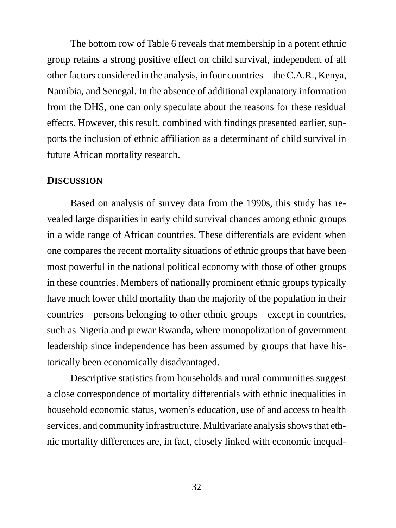The bottom row of Table 6 reveals that membership in a potent ethnic group retains a strong positive effect on child survival, independent of all other factors considered in the analysis, in four countries—the C.A.R., Kenya, Namibia, and Senegal. In the absence of additional explanatory information from the DHS, one can only speculate about the reasons for these residual effects. However, this result, combined with findings presented earlier, supports the inclusion of ethnic affiliation as a determinant of child survival in future African mortality research.

#### **DISCUSSION**

Based on analysis of survey data from the 1990s, this study has revealed large disparities in early child survival chances among ethnic groups in a wide range of African countries. These differentials are evident when one compares the recent mortality situations of ethnic groups that have been most powerful in the national political economy with those of other groups in these countries. Members of nationally prominent ethnic groups typically have much lower child mortality than the majority of the population in their countries—persons belonging to other ethnic groups—except in countries, such as Nigeria and prewar Rwanda, where monopolization of government leadership since independence has been assumed by groups that have historically been economically disadvantaged.

Descriptive statistics from households and rural communities suggest a close correspondence of mortality differentials with ethnic inequalities in household economic status, women's education, use of and access to health services, and community infrastructure. Multivariate analysis shows that ethnic mortality differences are, in fact, closely linked with economic inequal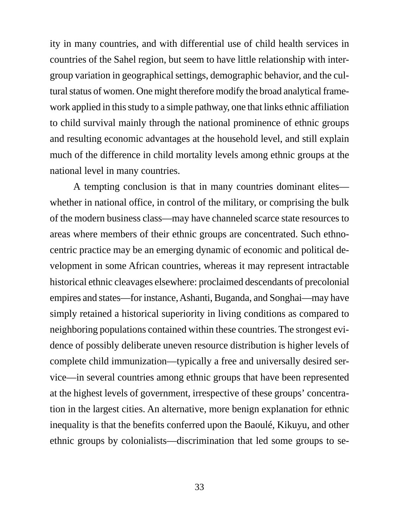ity in many countries, and with differential use of child health services in countries of the Sahel region, but seem to have little relationship with intergroup variation in geographical settings, demographic behavior, and the cultural status of women. One might therefore modify the broad analytical framework applied in this study to a simple pathway, one that links ethnic affiliation to child survival mainly through the national prominence of ethnic groups and resulting economic advantages at the household level, and still explain much of the difference in child mortality levels among ethnic groups at the national level in many countries.

A tempting conclusion is that in many countries dominant elites whether in national office, in control of the military, or comprising the bulk of the modern business class—may have channeled scarce state resources to areas where members of their ethnic groups are concentrated. Such ethnocentric practice may be an emerging dynamic of economic and political development in some African countries, whereas it may represent intractable historical ethnic cleavages elsewhere: proclaimed descendants of precolonial empires and states—for instance, Ashanti, Buganda, and Songhai—may have simply retained a historical superiority in living conditions as compared to neighboring populations contained within these countries. The strongest evidence of possibly deliberate uneven resource distribution is higher levels of complete child immunization—typically a free and universally desired service—in several countries among ethnic groups that have been represented at the highest levels of government, irrespective of these groups' concentration in the largest cities. An alternative, more benign explanation for ethnic inequality is that the benefits conferred upon the Baoulé, Kikuyu, and other ethnic groups by colonialists—discrimination that led some groups to se-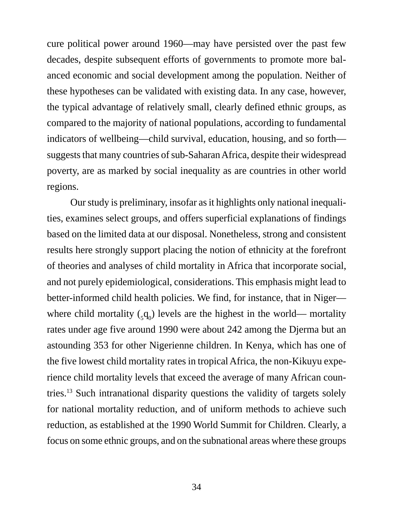cure political power around 1960—may have persisted over the past few decades, despite subsequent efforts of governments to promote more balanced economic and social development among the population. Neither of these hypotheses can be validated with existing data. In any case, however, the typical advantage of relatively small, clearly defined ethnic groups, as compared to the majority of national populations, according to fundamental indicators of wellbeing—child survival, education, housing, and so forth suggests that many countries of sub-Saharan Africa, despite their widespread poverty, are as marked by social inequality as are countries in other world regions.

Our study is preliminary, insofar as it highlights only national inequalities, examines select groups, and offers superficial explanations of findings based on the limited data at our disposal. Nonetheless, strong and consistent results here strongly support placing the notion of ethnicity at the forefront of theories and analyses of child mortality in Africa that incorporate social, and not purely epidemiological, considerations. This emphasis might lead to better-informed child health policies. We find, for instance, that in Niger where child mortality  $(_{5}q_{0})$  levels are the highest in the world— mortality rates under age five around 1990 were about 242 among the Djerma but an astounding 353 for other Nigerienne children. In Kenya, which has one of the five lowest child mortality rates in tropical Africa, the non-Kikuyu experience child mortality levels that exceed the average of many African countries.13 Such intranational disparity questions the validity of targets solely for national mortality reduction, and of uniform methods to achieve such reduction, as established at the 1990 World Summit for Children. Clearly, a focus on some ethnic groups, and on the subnational areas where these groups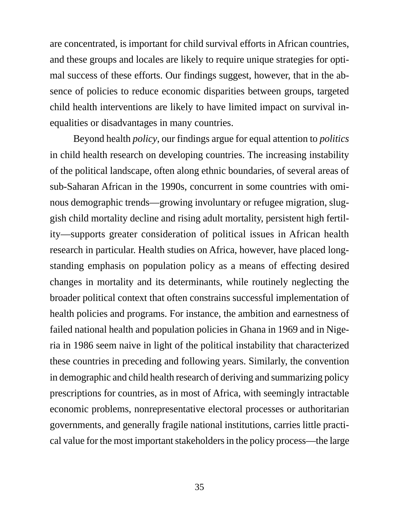are concentrated, is important for child survival efforts in African countries, and these groups and locales are likely to require unique strategies for optimal success of these efforts. Our findings suggest, however, that in the absence of policies to reduce economic disparities between groups, targeted child health interventions are likely to have limited impact on survival inequalities or disadvantages in many countries.

Beyond health *policy*, our findings argue for equal attention to *politics* in child health research on developing countries. The increasing instability of the political landscape, often along ethnic boundaries, of several areas of sub-Saharan African in the 1990s, concurrent in some countries with ominous demographic trends—growing involuntary or refugee migration, sluggish child mortality decline and rising adult mortality, persistent high fertility—supports greater consideration of political issues in African health research in particular. Health studies on Africa, however, have placed longstanding emphasis on population policy as a means of effecting desired changes in mortality and its determinants, while routinely neglecting the broader political context that often constrains successful implementation of health policies and programs. For instance, the ambition and earnestness of failed national health and population policies in Ghana in 1969 and in Nigeria in 1986 seem naive in light of the political instability that characterized these countries in preceding and following years. Similarly, the convention in demographic and child health research of deriving and summarizing policy prescriptions for countries, as in most of Africa, with seemingly intractable economic problems, nonrepresentative electoral processes or authoritarian governments, and generally fragile national institutions, carries little practical value for the most important stakeholders in the policy process—the large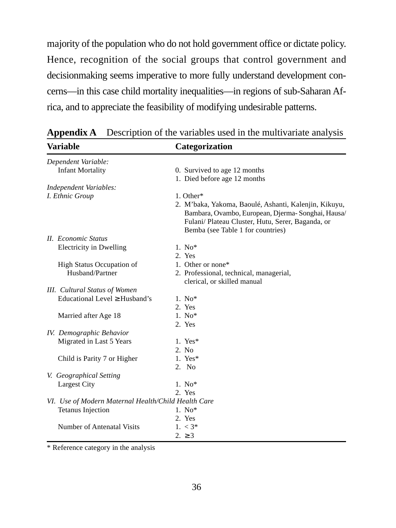majority of the population who do not hold government office or dictate policy. Hence, recognition of the social groups that control government and decisionmaking seems imperative to more fully understand development concerns—in this case child mortality inequalities—in regions of sub-Saharan Africa, and to appreciate the feasibility of modifying undesirable patterns.

| Variable                                            | Categorization                                                                                                                                                                                       |
|-----------------------------------------------------|------------------------------------------------------------------------------------------------------------------------------------------------------------------------------------------------------|
| Dependent Variable:                                 |                                                                                                                                                                                                      |
| <b>Infant Mortality</b>                             | 0. Survived to age 12 months                                                                                                                                                                         |
|                                                     | 1. Died before age 12 months                                                                                                                                                                         |
| Independent Variables:                              |                                                                                                                                                                                                      |
| I. Ethnic Group                                     | 1. Other*                                                                                                                                                                                            |
|                                                     | 2. M'baka, Yakoma, Baoulé, Ashanti, Kalenjin, Kikuyu,<br>Bambara, Ovambo, European, Djerma-Songhai, Hausa/<br>Fulani/ Plateau Cluster, Hutu, Serer, Baganda, or<br>Bemba (see Table 1 for countries) |
| <b>II.</b> Economic Status                          |                                                                                                                                                                                                      |
| Electricity in Dwelling                             | $1. No*$                                                                                                                                                                                             |
|                                                     | 2. Yes                                                                                                                                                                                               |
| <b>High Status Occupation of</b>                    | 1. Other or none*                                                                                                                                                                                    |
| Husband/Partner                                     | 2. Professional, technical, managerial,<br>clerical, or skilled manual                                                                                                                               |
| <b>III.</b> Cultural Status of Women                |                                                                                                                                                                                                      |
| Educational Level $\geq$ Husband's                  | $1.$ No <sup>*</sup>                                                                                                                                                                                 |
|                                                     | 2. Yes                                                                                                                                                                                               |
| Married after Age 18                                | $1.$ No $*$                                                                                                                                                                                          |
|                                                     | 2. Yes                                                                                                                                                                                               |
| IV. Demographic Behavior                            |                                                                                                                                                                                                      |
| Migrated in Last 5 Years                            | 1. Yes $*$                                                                                                                                                                                           |
|                                                     | 2. No                                                                                                                                                                                                |
| Child is Parity 7 or Higher                         | 1. Yes $*$                                                                                                                                                                                           |
|                                                     | 2. No                                                                                                                                                                                                |
| V. Geographical Setting                             |                                                                                                                                                                                                      |
| Largest City                                        | $1. No*$                                                                                                                                                                                             |
|                                                     | 2. Yes                                                                                                                                                                                               |
| VI. Use of Modern Maternal Health/Child Health Care |                                                                                                                                                                                                      |
| <b>Tetanus Injection</b>                            | $1.$ No $*$                                                                                                                                                                                          |
|                                                     | 2. Yes                                                                                                                                                                                               |
| Number of Antenatal Visits                          | $1. < 3^*$                                                                                                                                                                                           |
|                                                     | $2. \geq 3$                                                                                                                                                                                          |

**Appendix A** Description of the variables used in the multivariate analysis

\* Reference category in the analysis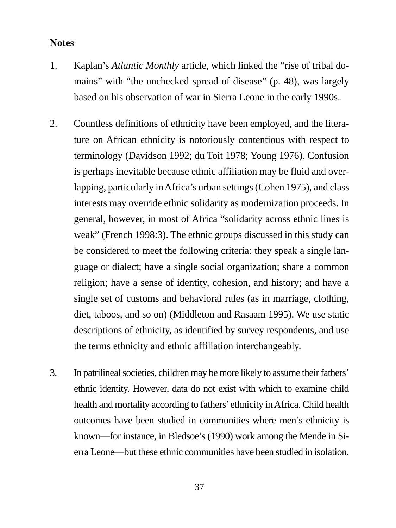### **Notes**

- 1. Kaplan's *Atlantic Monthly* article, which linked the "rise of tribal domains" with "the unchecked spread of disease" (p. 48), was largely based on his observation of war in Sierra Leone in the early 1990s.
- 2. Countless definitions of ethnicity have been employed, and the literature on African ethnicity is notoriously contentious with respect to terminology (Davidson 1992; du Toit 1978; Young 1976). Confusion is perhaps inevitable because ethnic affiliation may be fluid and overlapping, particularly in Africa's urban settings (Cohen 1975), and class interests may override ethnic solidarity as modernization proceeds. In general, however, in most of Africa "solidarity across ethnic lines is weak" (French 1998:3). The ethnic groups discussed in this study can be considered to meet the following criteria: they speak a single language or dialect; have a single social organization; share a common religion; have a sense of identity, cohesion, and history; and have a single set of customs and behavioral rules (as in marriage, clothing, diet, taboos, and so on) (Middleton and Rasaam 1995). We use static descriptions of ethnicity, as identified by survey respondents, and use the terms ethnicity and ethnic affiliation interchangeably.
- 3. In patrilineal societies, children may be more likely to assume their fathers' ethnic identity. However, data do not exist with which to examine child health and mortality according to fathers' ethnicity in Africa. Child health outcomes have been studied in communities where men's ethnicity is known—for instance, in Bledsoe's (1990) work among the Mende in Sierra Leone—but these ethnic communities have been studied in isolation.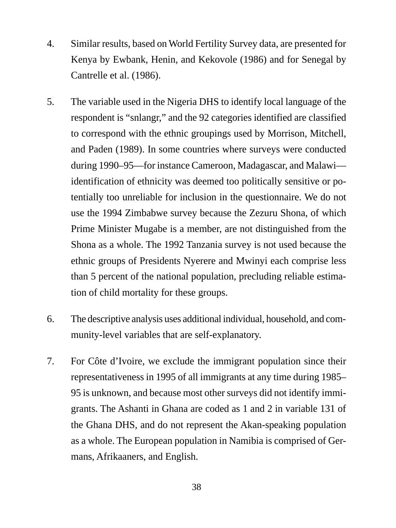- 4. Similar results, based on World Fertility Survey data, are presented for Kenya by Ewbank, Henin, and Kekovole (1986) and for Senegal by Cantrelle et al. (1986).
- 5. The variable used in the Nigeria DHS to identify local language of the respondent is "snlangr," and the 92 categories identified are classified to correspond with the ethnic groupings used by Morrison, Mitchell, and Paden (1989). In some countries where surveys were conducted during 1990–95—for instance Cameroon, Madagascar, and Malawi identification of ethnicity was deemed too politically sensitive or potentially too unreliable for inclusion in the questionnaire. We do not use the 1994 Zimbabwe survey because the Zezuru Shona, of which Prime Minister Mugabe is a member, are not distinguished from the Shona as a whole. The 1992 Tanzania survey is not used because the ethnic groups of Presidents Nyerere and Mwinyi each comprise less than 5 percent of the national population, precluding reliable estimation of child mortality for these groups.
- 6. The descriptive analysis uses additional individual, household, and community-level variables that are self-explanatory.
- 7. For Côte d'Ivoire, we exclude the immigrant population since their representativeness in 1995 of all immigrants at any time during 1985– 95 is unknown, and because most other surveys did not identify immigrants. The Ashanti in Ghana are coded as 1 and 2 in variable 131 of the Ghana DHS, and do not represent the Akan-speaking population as a whole. The European population in Namibia is comprised of Germans, Afrikaaners, and English.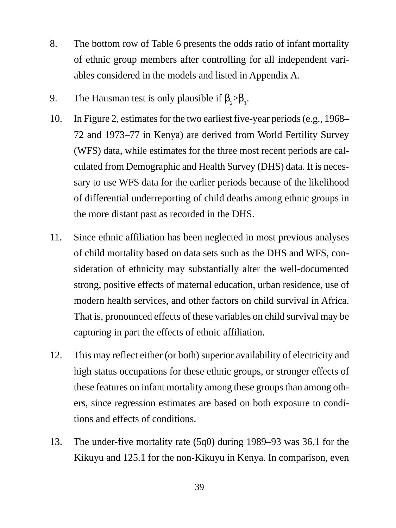- 8. The bottom row of Table 6 presents the odds ratio of infant mortality of ethnic group members after controlling for all independent variables considered in the models and listed in Appendix A.
- 9. The Hausman test is only plausible if  $\beta_2 > \beta_1$ .
- 10. In Figure 2, estimates for the two earliest five-year periods (e.g., 1968– 72 and 1973–77 in Kenya) are derived from World Fertility Survey (WFS) data, while estimates for the three most recent periods are calculated from Demographic and Health Survey (DHS) data. It is necessary to use WFS data for the earlier periods because of the likelihood of differential underreporting of child deaths among ethnic groups in the more distant past as recorded in the DHS.
- 11. Since ethnic affiliation has been neglected in most previous analyses of child mortality based on data sets such as the DHS and WFS, consideration of ethnicity may substantially alter the well-documented strong, positive effects of maternal education, urban residence, use of modern health services, and other factors on child survival in Africa. That is, pronounced effects of these variables on child survival may be capturing in part the effects of ethnic affiliation.
- 12. This may reflect either (or both) superior availability of electricity and high status occupations for these ethnic groups, or stronger effects of these features on infant mortality among these groups than among others, since regression estimates are based on both exposure to conditions and effects of conditions.
- 13. The under-five mortality rate (5q0) during 1989–93 was 36.1 for the Kikuyu and 125.1 for the non-Kikuyu in Kenya. In comparison, even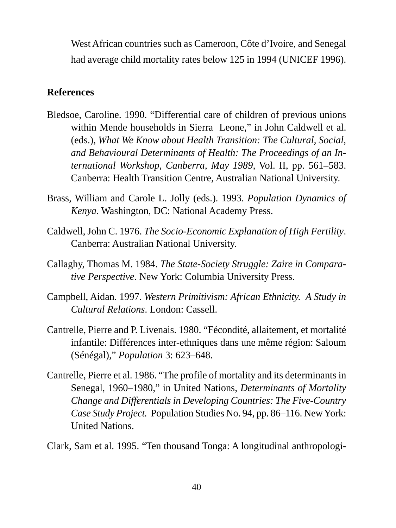West African countries such as Cameroon, Côte d'Ivoire, and Senegal had average child mortality rates below 125 in 1994 (UNICEF 1996).

# **References**

- Bledsoe, Caroline. 1990. "Differential care of children of previous unions within Mende households in Sierra Leone," in John Caldwell et al. (eds.), *What We Know about Health Transition: The Cultural, Social, and Behavioural Determinants of Health: The Proceedings of an International Workshop, Canberra, May 1989,* Vol. II, pp. 561–583. Canberra: Health Transition Centre, Australian National University.
- Brass, William and Carole L. Jolly (eds.). 1993. *Population Dynamics of Kenya*. Washington, DC: National Academy Press.
- Caldwell, John C. 1976. *The Socio-Economic Explanation of High Fertility*. Canberra: Australian National University.
- Callaghy, Thomas M. 1984. *The State-Society Struggle: Zaire in Comparative Perspective*. New York: Columbia University Press.
- Campbell, Aidan. 1997. *Western Primitivism: African Ethnicity. A Study in Cultural Relations*. London: Cassell.
- Cantrelle, Pierre and P. Livenais. 1980. "Fécondité, allaitement, et mortalité infantile: Différences inter-ethniques dans une même région: Saloum (Sénégal)," *Population* 3: 623–648.
- Cantrelle, Pierre et al. 1986. "The profile of mortality and its determinants in Senegal, 1960–1980," in United Nations, *Determinants of Mortality Change and Differentials in Developing Countries: The Five-Country Case Study Project.* Population Studies No. 94, pp. 86–116. New York: United Nations.

Clark, Sam et al. 1995. "Ten thousand Tonga: A longitudinal anthropologi-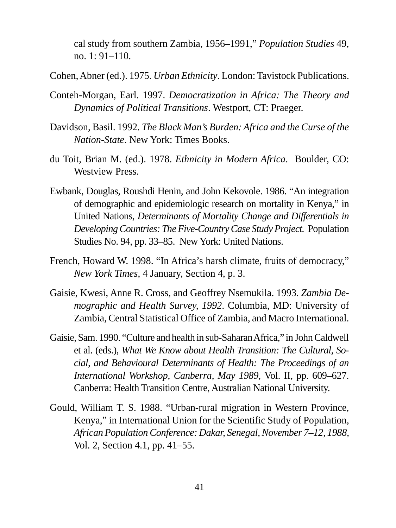cal study from southern Zambia, 1956–1991," *Population Studies* 49, no. 1: 91–110.

Cohen, Abner (ed.). 1975. *Urban Ethnicity*. London: Tavistock Publications.

- Conteh-Morgan, Earl. 1997. *Democratization in Africa: The Theory and Dynamics of Political Transitions*. Westport, CT: Praeger.
- Davidson, Basil. 1992. *The Black Man's Burden: Africa and the Curse of the Nation-State*. New York: Times Books.
- du Toit, Brian M. (ed.). 1978. *Ethnicity in Modern Africa*. Boulder, CO: Westview Press.
- Ewbank, Douglas, Roushdi Henin, and John Kekovole. 1986. "An integration of demographic and epidemiologic research on mortality in Kenya," in United Nations, *Determinants of Mortality Change and Differentials in Developing Countries: The Five-Country Case Study Project.* Population Studies No. 94, pp. 33–85. New York: United Nations.
- French, Howard W. 1998. "In Africa's harsh climate, fruits of democracy," *New York Times,* 4 January, Section 4, p. 3.
- Gaisie, Kwesi, Anne R. Cross, and Geoffrey Nsemukila. 1993. *Zambia Demographic and Health Survey, 1992*. Columbia, MD: University of Zambia, Central Statistical Office of Zambia, and Macro International.
- Gaisie, Sam. 1990. "Culture and health in sub-Saharan Africa," in John Caldwell et al. (eds.), *What We Know about Health Transition: The Cultural, Social, and Behavioural Determinants of Health: The Proceedings of an International Workshop, Canberra, May 1989,* Vol. II, pp. 609–627. Canberra: Health Transition Centre, Australian National University.
- Gould, William T. S. 1988. "Urban-rural migration in Western Province, Kenya," in International Union for the Scientific Study of Population, *African Population Conference: Dakar, Senegal, November 7–12, 1988,* Vol. 2, Section 4.1, pp. 41–55.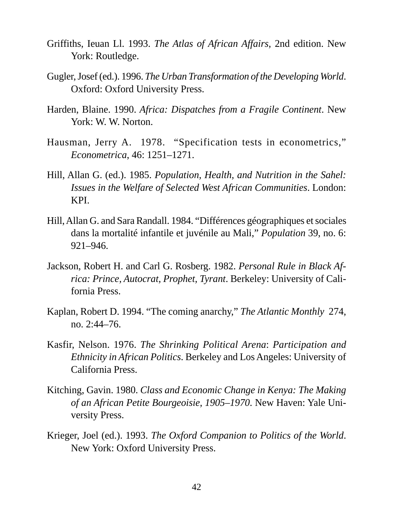- Griffiths, Ieuan Ll. 1993. *The Atlas of African Affairs,* 2nd edition. New York: Routledge.
- Gugler, Josef (ed.). 1996. *The Urban Transformation of the Developing World*. Oxford: Oxford University Press.
- Harden, Blaine. 1990. *Africa: Dispatches from a Fragile Continent*. New York: W. W. Norton.
- Hausman, Jerry A. 1978. "Specification tests in econometrics," *Econometrica*, 46: 1251–1271.
- Hill, Allan G. (ed.). 1985. *Population, Health, and Nutrition in the Sahel: Issues in the Welfare of Selected West African Communities*. London: KPI.
- Hill, Allan G. and Sara Randall. 1984. "Différences géographiques et sociales dans la mortalité infantile et juvénile au Mali," *Population* 39, no. 6: 921–946.
- Jackson, Robert H. and Carl G. Rosberg. 1982. *Personal Rule in Black Africa: Prince, Autocrat, Prophet, Tyrant*. Berkeley: University of California Press.
- Kaplan, Robert D. 1994. "The coming anarchy," *The Atlantic Monthly* 274, no. 2:44–76.
- Kasfir, Nelson. 1976. *The Shrinking Political Arena*: *Participation and Ethnicity in African Politics*. Berkeley and Los Angeles: University of California Press.
- Kitching, Gavin. 1980. *Class and Economic Change in Kenya: The Making of an African Petite Bourgeoisie, 1905–1970*. New Haven: Yale University Press.
- Krieger, Joel (ed.). 1993. *The Oxford Companion to Politics of the World*. New York: Oxford University Press.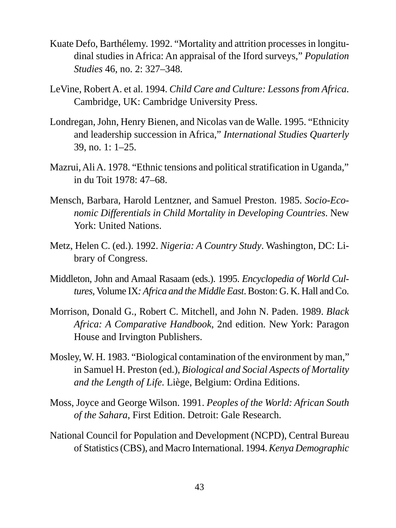- Kuate Defo, Barthélemy. 1992. "Mortality and attrition processes in longitudinal studies in Africa: An appraisal of the Iford surveys," *Population Studies* 46, no. 2: 327–348.
- LeVine, Robert A. et al. 1994. *Child Care and Culture: Lessons from Africa*. Cambridge, UK: Cambridge University Press.
- Londregan, John, Henry Bienen, and Nicolas van de Walle. 1995. "Ethnicity and leadership succession in Africa," *International Studies Quarterly* 39, no. 1: 1–25.
- Mazrui, Ali A. 1978. "Ethnic tensions and political stratification in Uganda," in du Toit 1978: 47–68.
- Mensch, Barbara, Harold Lentzner, and Samuel Preston. 1985. *Socio-Economic Differentials in Child Mortality in Developing Countries*. New York: United Nations.
- Metz, Helen C. (ed.). 1992. *Nigeria: A Country Study*. Washington, DC: Library of Congress.
- Middleton, John and Amaal Rasaam (eds.). 1995. *Encyclopedia of World Cultures,* Volume IX*: Africa and the Middle East*. Boston: G. K. Hall and Co.
- Morrison, Donald G., Robert C. Mitchell, and John N. Paden. 1989. *Black Africa: A Comparative Handbook*, 2nd edition. New York: Paragon House and Irvington Publishers.
- Mosley, W. H. 1983. "Biological contamination of the environment by man," in Samuel H. Preston (ed.), *Biological and Social Aspects of Mortality and the Length of Life*. Liège, Belgium: Ordina Editions.
- Moss, Joyce and George Wilson. 1991. *Peoples of the World: African South of the Sahara*, First Edition. Detroit: Gale Research.
- National Council for Population and Development (NCPD), Central Bureau of Statistics (CBS), and Macro International. 1994. *Kenya Demographic*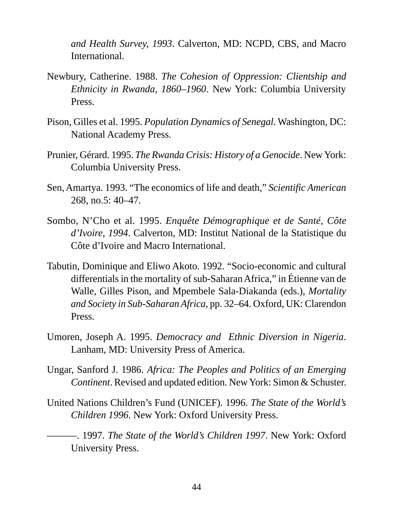*and Health Survey, 1993*. Calverton, MD: NCPD, CBS, and Macro International.

- Newbury, Catherine. 1988. *The Cohesion of Oppression: Clientship and Ethnicity in Rwanda, 1860–1960*. New York: Columbia University Press.
- Pison, Gilles et al. 1995. *Population Dynamics of Senegal*. Washington, DC: National Academy Press.
- Prunier, Gérard. 1995. *The Rwanda Crisis: History of a Genocide*. New York: Columbia University Press.
- Sen, Amartya. 1993. "The economics of life and death," *Scientific American* 268, no.5: 40–47.
- Sombo, N'Cho et al. 1995. *Enquête Démographique et de Santé, Côte d'Ivoire, 1994*. Calverton, MD: Institut National de la Statistique du Côte d'Ivoire and Macro International.
- Tabutin, Dominique and Eliwo Akoto. 1992. "Socio-economic and cultural differentials in the mortality of sub-Saharan Africa," in Étienne van de Walle, Gilles Pison, and Mpembele Sala-Diakanda (eds.), *Mortality and Society in Sub-Saharan Africa*, pp. 32–64. Oxford, UK: Clarendon Press.
- Umoren, Joseph A. 1995. *Democracy and Ethnic Diversion in Nigeria*. Lanham, MD: University Press of America.
- Ungar, Sanford J. 1986. *Africa: The Peoples and Politics of an Emerging Continent*. Revised and updated edition. New York: Simon & Schuster.
- United Nations Children's Fund (UNICEF). 1996. *The State of the World's Children 1996*. New York: Oxford University Press.
	- ———. 1997. *The State of the World's Children 1997*. New York: Oxford University Press.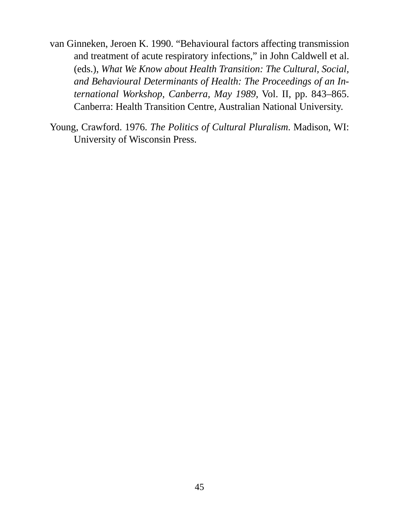- van Ginneken, Jeroen K. 1990. "Behavioural factors affecting transmission and treatment of acute respiratory infections," in John Caldwell et al. (eds.), *What We Know about Health Transition: The Cultural, Social, and Behavioural Determinants of Health: The Proceedings of an International Workshop, Canberra, May 1989,* Vol. II, pp. 843–865. Canberra: Health Transition Centre, Australian National University.
- Young, Crawford. 1976. *The Politics of Cultural Pluralism*. Madison, WI: University of Wisconsin Press.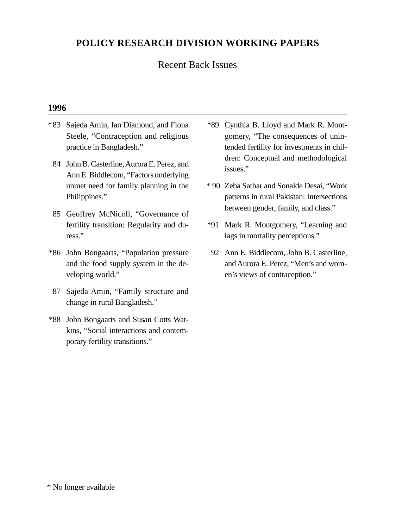## **POLICY RESEARCH DIVISION WORKING PAPERS**

#### Recent Back Issues

#### **1996**

- \*83 Sajeda Amin, Ian Diamond, and Fiona Steele, "Contraception and religious practice in Bangladesh."
	- 84 John B. Casterline, Aurora E. Perez, and Ann E. Biddlecom, "Factors underlying unmet need for family planning in the Philippines."
	- 85 Geoffrey McNicoll, "Governance of fertility transition: Regularity and duress."
- \*86 John Bongaarts, "Population pressure and the food supply system in the developing world."
- 87 Sajeda Amin, "Family structure and change in rural Bangladesh."
- \*88 John Bongaarts and Susan Cotts Watkins, "Social interactions and contemporary fertility transitions."
- \*89 Cynthia B. Lloyd and Mark R. Montgomery, "The consequences of unintended fertility for investments in children: Conceptual and methodological issues."
- \* 90 Zeba Sathar and Sonalde Desai, "Work patterns in rural Pakistan: Intersections between gender, family, and class."
- \*91 Mark R. Montgomery, "Learning and lags in mortality perceptions."
- 92 Ann E. Biddlecom, John B. Casterline, and Aurora E. Perez, "Men's and women's views of contraception."